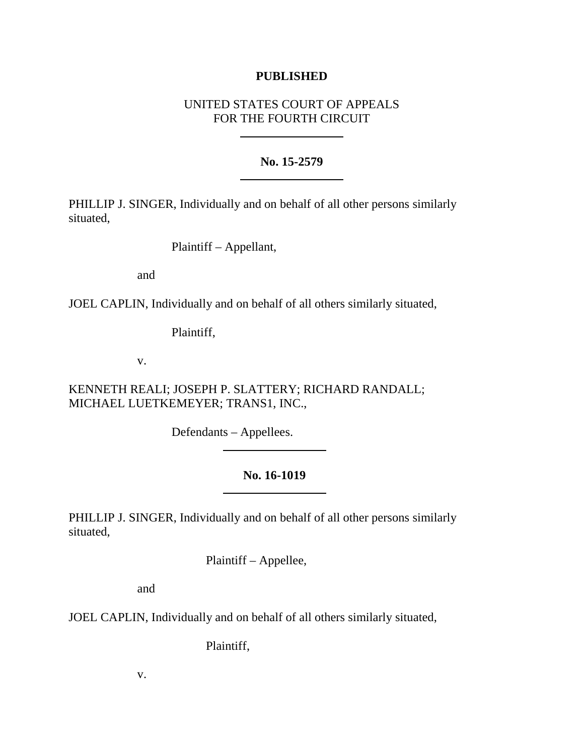## **PUBLISHED**

# UNITED STATES COURT OF APPEALS FOR THE FOURTH CIRCUIT

## **No. 15-2579**

PHILLIP J. SINGER, Individually and on behalf of all other persons similarly situated,

Plaintiff – Appellant,

and

JOEL CAPLIN, Individually and on behalf of all others similarly situated,

Plaintiff,

v.

KENNETH REALI; JOSEPH P. SLATTERY; RICHARD RANDALL; MICHAEL LUETKEMEYER; TRANS1, INC.,

Defendants – Appellees.

# **No. 16-1019**

PHILLIP J. SINGER, Individually and on behalf of all other persons similarly situated,

Plaintiff – Appellee,

and

JOEL CAPLIN, Individually and on behalf of all others similarly situated,

Plaintiff,

v.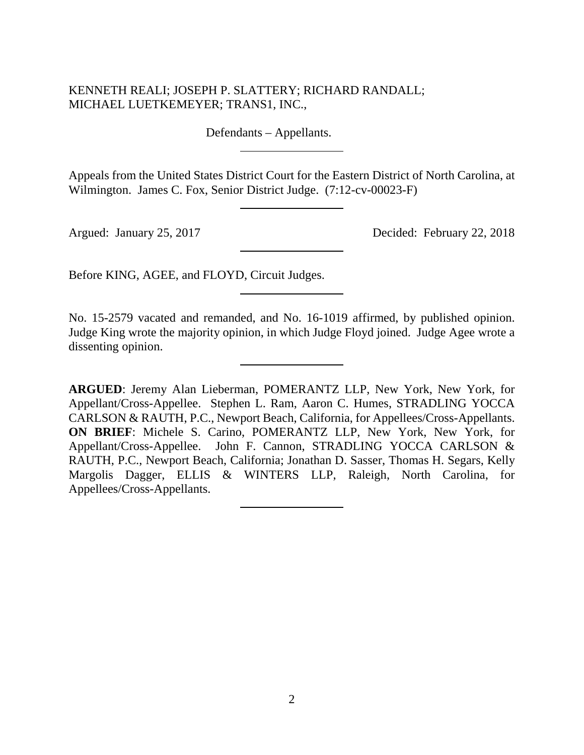# KENNETH REALI; JOSEPH P. SLATTERY; RICHARD RANDALL; MICHAEL LUETKEMEYER; TRANS1, INC.,

Defendants – Appellants.

Appeals from the United States District Court for the Eastern District of North Carolina, at Wilmington. James C. Fox, Senior District Judge. (7:12-cv-00023-F)

Argued: January 25, 2017 Decided: February 22, 2018

Before KING, AGEE, and FLOYD, Circuit Judges.

No. 15-2579 vacated and remanded, and No. 16-1019 affirmed, by published opinion. Judge King wrote the majority opinion, in which Judge Floyd joined. Judge Agee wrote a dissenting opinion.

**ARGUED**: Jeremy Alan Lieberman, POMERANTZ LLP, New York, New York, for Appellant/Cross-Appellee. Stephen L. Ram, Aaron C. Humes, STRADLING YOCCA CARLSON & RAUTH, P.C., Newport Beach, California, for Appellees/Cross-Appellants. **ON BRIEF**: Michele S. Carino, POMERANTZ LLP, New York, New York, for Appellant/Cross-Appellee. John F. Cannon, STRADLING YOCCA CARLSON & RAUTH, P.C., Newport Beach, California; Jonathan D. Sasser, Thomas H. Segars, Kelly Margolis Dagger, ELLIS & WINTERS LLP, Raleigh, North Carolina, for Appellees/Cross-Appellants.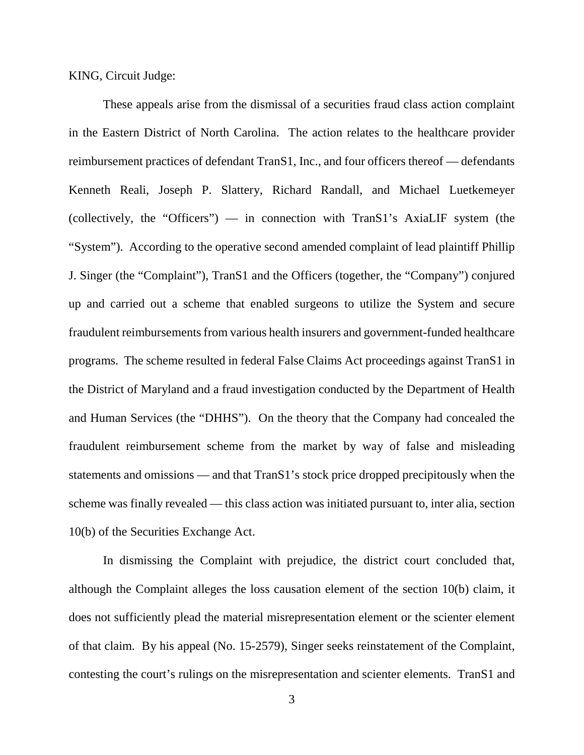KING, Circuit Judge:

These appeals arise from the dismissal of a securities fraud class action complaint in the Eastern District of North Carolina. The action relates to the healthcare provider reimbursement practices of defendant TranS1, Inc., and four officers thereof — defendants Kenneth Reali, Joseph P. Slattery, Richard Randall, and Michael Luetkemeyer (collectively, the "Officers") — in connection with TranS1's AxiaLIF system (the "System"). According to the operative second amended complaint of lead plaintiff Phillip J. Singer (the "Complaint"), TranS1 and the Officers (together, the "Company") conjured up and carried out a scheme that enabled surgeons to utilize the System and secure fraudulent reimbursements from various health insurers and government-funded healthcare programs. The scheme resulted in federal False Claims Act proceedings against TranS1 in the District of Maryland and a fraud investigation conducted by the Department of Health and Human Services (the "DHHS"). On the theory that the Company had concealed the fraudulent reimbursement scheme from the market by way of false and misleading statements and omissions — and that TranS1's stock price dropped precipitously when the scheme was finally revealed — this class action was initiated pursuant to, inter alia, section 10(b) of the Securities Exchange Act.

In dismissing the Complaint with prejudice, the district court concluded that, although the Complaint alleges the loss causation element of the section 10(b) claim, it does not sufficiently plead the material misrepresentation element or the scienter element of that claim. By his appeal (No. 15-2579), Singer seeks reinstatement of the Complaint, contesting the court's rulings on the misrepresentation and scienter elements. TranS1 and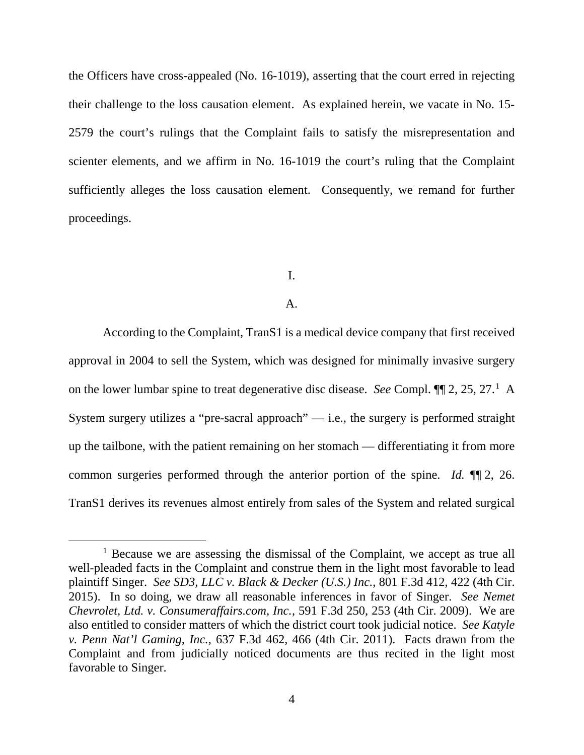the Officers have cross-appealed (No. 16-1019), asserting that the court erred in rejecting their challenge to the loss causation element. As explained herein, we vacate in No. 15- 2579 the court's rulings that the Complaint fails to satisfy the misrepresentation and scienter elements, and we affirm in No. 16-1019 the court's ruling that the Complaint sufficiently alleges the loss causation element. Consequently, we remand for further proceedings.

### I.

### A.

According to the Complaint, TranS1 is a medical device company that first received approval in 2004 to sell the System, which was designed for minimally invasive surgery on the lower lumbar spine to treat degenerative disc disease. *See* Compl.  $\P$ [[1](#page-3-0)2, 25, 27.<sup>1</sup> A System surgery utilizes a "pre-sacral approach"  $-$  i.e., the surgery is performed straight up the tailbone, with the patient remaining on her stomach — differentiating it from more common surgeries performed through the anterior portion of the spine. *Id.* ¶¶ 2, 26. TranS1 derives its revenues almost entirely from sales of the System and related surgical

<span id="page-3-0"></span> $1$  Because we are assessing the dismissal of the Complaint, we accept as true all well-pleaded facts in the Complaint and construe them in the light most favorable to lead plaintiff Singer. *See SD3, LLC v. Black & Decker (U.S.) Inc.*, 801 F.3d 412, 422 (4th Cir. 2015). In so doing, we draw all reasonable inferences in favor of Singer. *See Nemet Chevrolet, Ltd. v. Consumeraffairs.com, Inc.*, 591 F.3d 250, 253 (4th Cir. 2009). We are also entitled to consider matters of which the district court took judicial notice. *See Katyle v. Penn Nat'l Gaming, Inc.*, 637 F.3d 462, 466 (4th Cir. 2011). Facts drawn from the Complaint and from judicially noticed documents are thus recited in the light most favorable to Singer.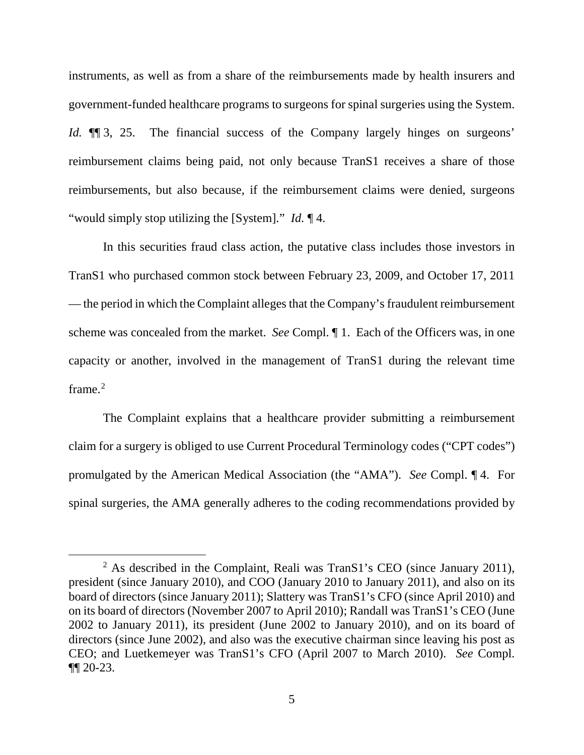instruments, as well as from a share of the reimbursements made by health insurers and government-funded healthcare programs to surgeons for spinal surgeries using the System. *Id.*  $\P$  3, 25. The financial success of the Company largely hinges on surgeons' reimbursement claims being paid, not only because TranS1 receives a share of those reimbursements, but also because, if the reimbursement claims were denied, surgeons "would simply stop utilizing the [System]." *Id.* ¶ 4.

In this securities fraud class action, the putative class includes those investors in TranS1 who purchased common stock between February 23, 2009, and October 17, 2011 — the period in which the Complaint alleges that the Company's fraudulent reimbursement scheme was concealed from the market. *See* Compl. ¶ 1. Each of the Officers was, in one capacity or another, involved in the management of TranS1 during the relevant time frame.<sup>[2](#page-4-0)</sup>

The Complaint explains that a healthcare provider submitting a reimbursement claim for a surgery is obliged to use Current Procedural Terminology codes ("CPT codes") promulgated by the American Medical Association (the "AMA"). *See* Compl. ¶ 4. For spinal surgeries, the AMA generally adheres to the coding recommendations provided by

<span id="page-4-0"></span><sup>&</sup>lt;sup>2</sup> As described in the Complaint, Reali was TranS1's CEO (since January 2011), president (since January 2010), and COO (January 2010 to January 2011), and also on its board of directors (since January 2011); Slattery was TranS1's CFO (since April 2010) and on its board of directors (November 2007 to April 2010); Randall was TranS1's CEO (June 2002 to January 2011), its president (June 2002 to January 2010), and on its board of directors (since June 2002), and also was the executive chairman since leaving his post as CEO; and Luetkemeyer was TranS1's CFO (April 2007 to March 2010). *See* Compl. ¶¶ 20-23.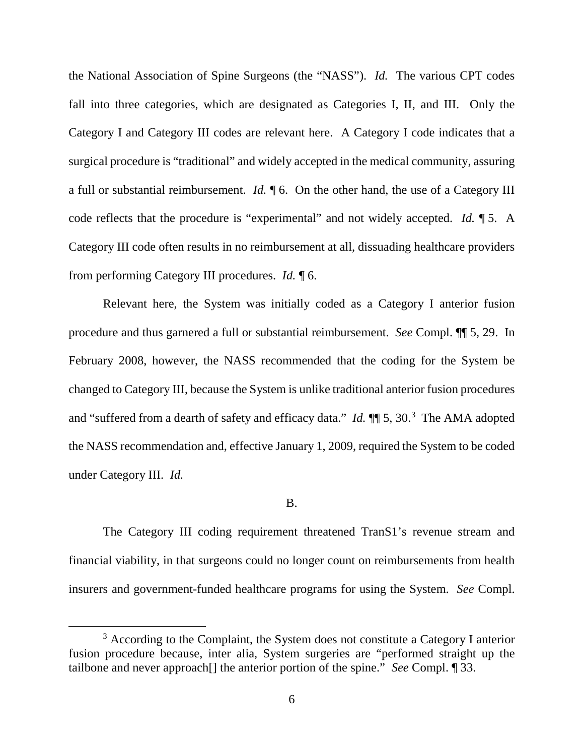the National Association of Spine Surgeons (the "NASS"). *Id.* The various CPT codes fall into three categories, which are designated as Categories I, II, and III. Only the Category I and Category III codes are relevant here. A Category I code indicates that a surgical procedure is "traditional" and widely accepted in the medical community, assuring a full or substantial reimbursement. *Id.* ¶ 6. On the other hand, the use of a Category III code reflects that the procedure is "experimental" and not widely accepted. *Id.* ¶ 5. A Category III code often results in no reimbursement at all, dissuading healthcare providers from performing Category III procedures. *Id.* ¶ 6.

Relevant here, the System was initially coded as a Category I anterior fusion procedure and thus garnered a full or substantial reimbursement. *See* Compl. ¶¶ 5, 29. In February 2008, however, the NASS recommended that the coding for the System be changed to Category III, because the System is unlike traditional anterior fusion procedures and "suffered from a dearth of safety and efficacy data." *Id.*  $\P$  5, [3](#page-5-0)0.<sup>3</sup> The AMA adopted the NASS recommendation and, effective January 1, 2009, required the System to be coded under Category III. *Id.*

### B.

The Category III coding requirement threatened TranS1's revenue stream and financial viability, in that surgeons could no longer count on reimbursements from health insurers and government-funded healthcare programs for using the System. *See* Compl.

<span id="page-5-0"></span><sup>&</sup>lt;sup>3</sup> According to the Complaint, the System does not constitute a Category I anterior fusion procedure because, inter alia, System surgeries are "performed straight up the tailbone and never approach[] the anterior portion of the spine." *See* Compl. ¶ 33.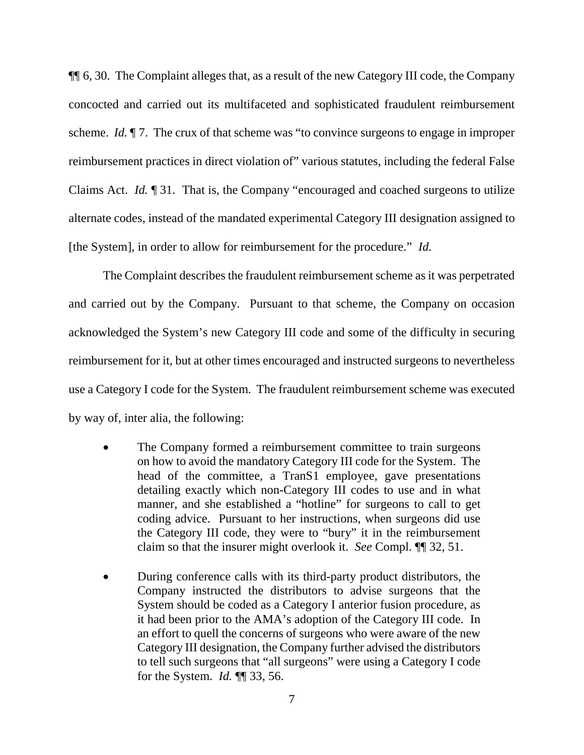¶¶ 6, 30. The Complaint alleges that, as a result of the new Category III code, the Company concocted and carried out its multifaceted and sophisticated fraudulent reimbursement scheme. *Id.* ¶ 7. The crux of that scheme was "to convince surgeons to engage in improper reimbursement practices in direct violation of" various statutes, including the federal False Claims Act. *Id.* ¶ 31. That is, the Company "encouraged and coached surgeons to utilize alternate codes, instead of the mandated experimental Category III designation assigned to [the System], in order to allow for reimbursement for the procedure." *Id.* 

The Complaint describes the fraudulent reimbursement scheme as it was perpetrated and carried out by the Company. Pursuant to that scheme, the Company on occasion acknowledged the System's new Category III code and some of the difficulty in securing reimbursement for it, but at other times encouraged and instructed surgeons to nevertheless use a Category I code for the System. The fraudulent reimbursement scheme was executed by way of, inter alia, the following:

- The Company formed a reimbursement committee to train surgeons on how to avoid the mandatory Category III code for the System. The head of the committee, a TranS1 employee, gave presentations detailing exactly which non-Category III codes to use and in what manner, and she established a "hotline" for surgeons to call to get coding advice. Pursuant to her instructions, when surgeons did use the Category III code, they were to "bury" it in the reimbursement claim so that the insurer might overlook it. *See* Compl. ¶¶ 32, 51.
- During conference calls with its third-party product distributors, the Company instructed the distributors to advise surgeons that the System should be coded as a Category I anterior fusion procedure, as it had been prior to the AMA's adoption of the Category III code. In an effort to quell the concerns of surgeons who were aware of the new Category III designation, the Company further advised the distributors to tell such surgeons that "all surgeons" were using a Category I code for the System. *Id.* ¶¶ 33, 56.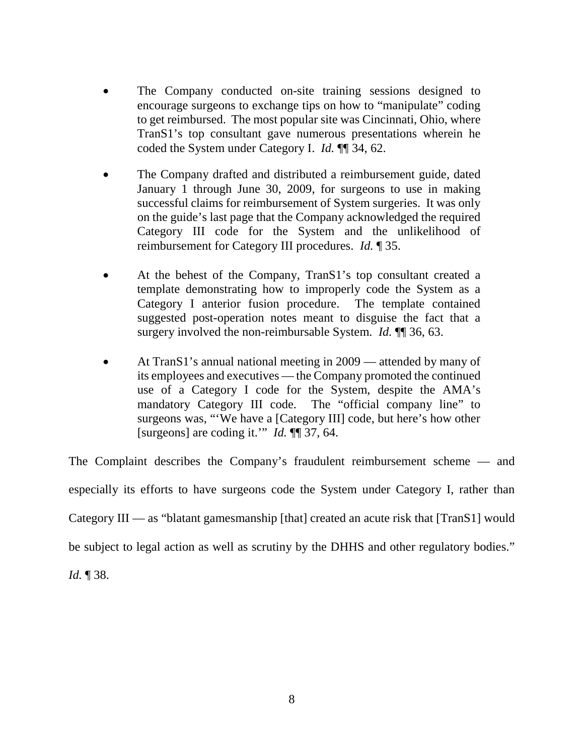- The Company conducted on-site training sessions designed to encourage surgeons to exchange tips on how to "manipulate" coding to get reimbursed. The most popular site was Cincinnati, Ohio, where TranS1's top consultant gave numerous presentations wherein he coded the System under Category I. *Id.* ¶¶ 34, 62.
- The Company drafted and distributed a reimbursement guide, dated January 1 through June 30, 2009, for surgeons to use in making successful claims for reimbursement of System surgeries. It was only on the guide's last page that the Company acknowledged the required Category III code for the System and the unlikelihood of reimbursement for Category III procedures. *Id.* ¶ 35.
- At the behest of the Company, TranS1's top consultant created a template demonstrating how to improperly code the System as a Category I anterior fusion procedure. The template contained suggested post-operation notes meant to disguise the fact that a surgery involved the non-reimbursable System. *Id.* ¶¶ 36, 63.
- At TranS1's annual national meeting in 2009 attended by many of its employees and executives — the Company promoted the continued use of a Category I code for the System, despite the AMA's mandatory Category III code. The "official company line" to surgeons was, "'We have a [Category III] code, but here's how other [surgeons] are coding it.'" *Id.* ¶¶ 37, 64.

The Complaint describes the Company's fraudulent reimbursement scheme — and especially its efforts to have surgeons code the System under Category I, rather than Category III — as "blatant gamesmanship [that] created an acute risk that [TranS1] would be subject to legal action as well as scrutiny by the DHHS and other regulatory bodies." *Id.* ¶ 38.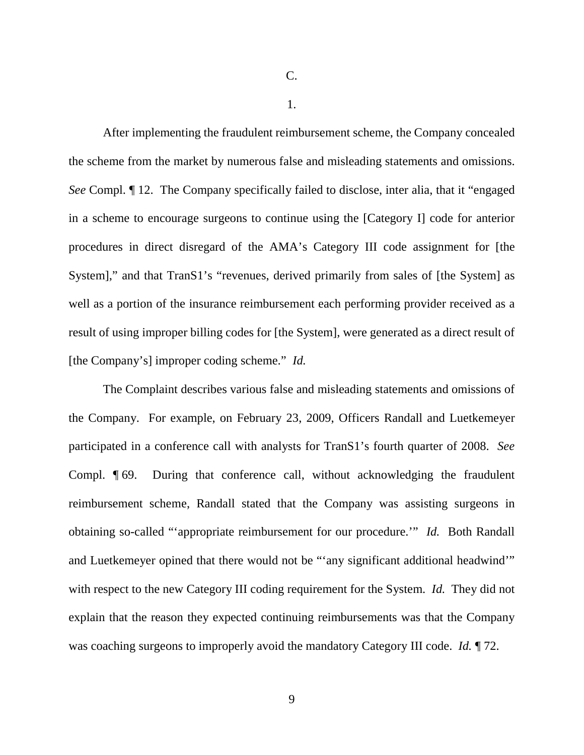C.

1.

After implementing the fraudulent reimbursement scheme, the Company concealed the scheme from the market by numerous false and misleading statements and omissions. *See* Compl. ¶ 12. The Company specifically failed to disclose, inter alia, that it "engaged in a scheme to encourage surgeons to continue using the [Category I] code for anterior procedures in direct disregard of the AMA's Category III code assignment for [the System]," and that TranS1's "revenues, derived primarily from sales of [the System] as well as a portion of the insurance reimbursement each performing provider received as a result of using improper billing codes for [the System], were generated as a direct result of [the Company's] improper coding scheme." *Id.* 

The Complaint describes various false and misleading statements and omissions of the Company. For example, on February 23, 2009, Officers Randall and Luetkemeyer participated in a conference call with analysts for TranS1's fourth quarter of 2008. *See* Compl. ¶ 69. During that conference call, without acknowledging the fraudulent reimbursement scheme, Randall stated that the Company was assisting surgeons in obtaining so-called "'appropriate reimbursement for our procedure.'" *Id.* Both Randall and Luetkemeyer opined that there would not be "'any significant additional headwind'" with respect to the new Category III coding requirement for the System. *Id.* They did not explain that the reason they expected continuing reimbursements was that the Company was coaching surgeons to improperly avoid the mandatory Category III code. *Id.* ¶ 72.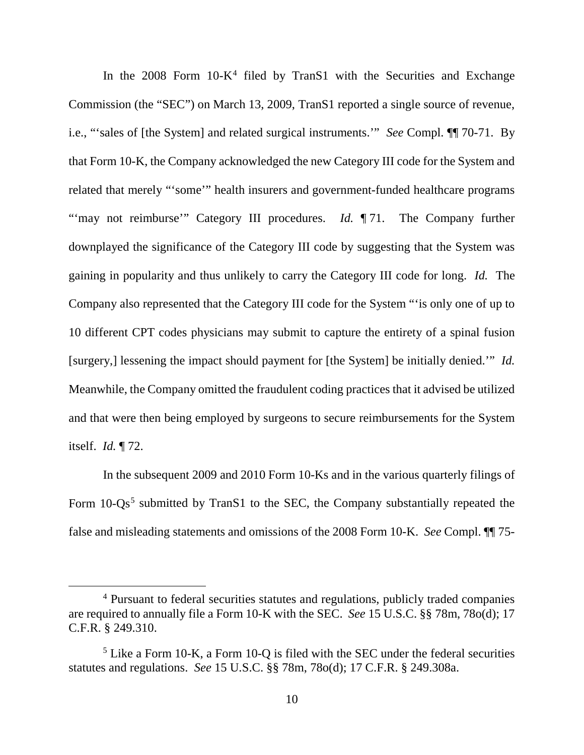In the  $2008$  Form  $10-K<sup>4</sup>$  $10-K<sup>4</sup>$  $10-K<sup>4</sup>$  filed by TranS1 with the Securities and Exchange Commission (the "SEC") on March 13, 2009, TranS1 reported a single source of revenue, i.e., "'sales of [the System] and related surgical instruments.'" *See* Compl. ¶¶ 70-71. By that Form 10-K, the Company acknowledged the new Category III code for the System and related that merely "'some'" health insurers and government-funded healthcare programs "'may not reimburse'" Category III procedures. *Id.* 171. The Company further downplayed the significance of the Category III code by suggesting that the System was gaining in popularity and thus unlikely to carry the Category III code for long. *Id.* The Company also represented that the Category III code for the System "'is only one of up to 10 different CPT codes physicians may submit to capture the entirety of a spinal fusion [surgery,] lessening the impact should payment for [the System] be initially denied.'" *Id.*  Meanwhile, the Company omitted the fraudulent coding practices that it advised be utilized and that were then being employed by surgeons to secure reimbursements for the System itself. *Id.* ¶ 72.

In the subsequent 2009 and 2010 Form 10-Ks and in the various quarterly filings of Form  $10\text{-}Qs^5$  $10\text{-}Qs^5$  submitted by TranS1 to the SEC, the Company substantially repeated the false and misleading statements and omissions of the 2008 Form 10-K. *See* Compl. ¶¶ 75-

<span id="page-9-0"></span> <sup>4</sup> Pursuant to federal securities statutes and regulations, publicly traded companies are required to annually file a Form 10-K with the SEC. *See* 15 U.S.C. §§ 78m, 78o(d); 17 C.F.R. § 249.310.

<span id="page-9-1"></span><sup>5</sup> Like a Form 10-K, a Form 10-Q is filed with the SEC under the federal securities statutes and regulations. *See* 15 U.S.C. §§ 78m, 78o(d); 17 C.F.R. § 249.308a.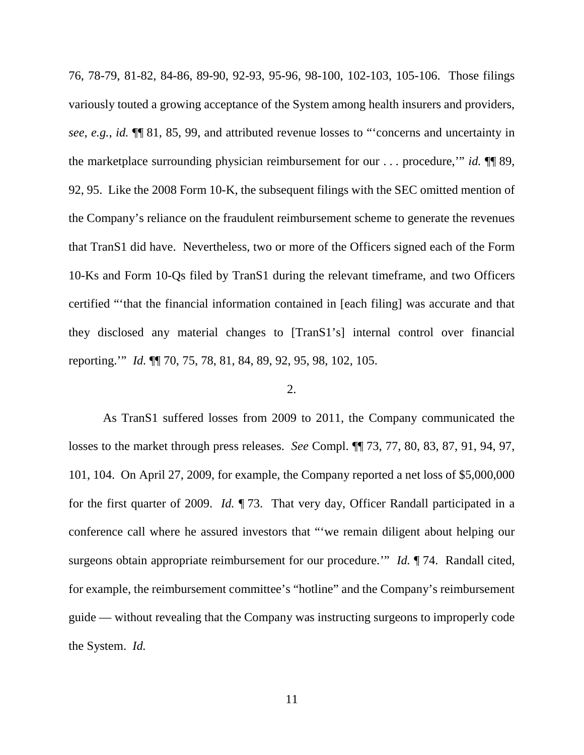76, 78-79, 81-82, 84-86, 89-90, 92-93, 95-96, 98-100, 102-103, 105-106. Those filings variously touted a growing acceptance of the System among health insurers and providers, *see, e.g.*, *id.* ¶¶ 81, 85, 99, and attributed revenue losses to "'concerns and uncertainty in the marketplace surrounding physician reimbursement for our . . . procedure,'" *id.* ¶¶ 89, 92, 95. Like the 2008 Form 10-K, the subsequent filings with the SEC omitted mention of the Company's reliance on the fraudulent reimbursement scheme to generate the revenues that TranS1 did have. Nevertheless, two or more of the Officers signed each of the Form 10-Ks and Form 10-Qs filed by TranS1 during the relevant timeframe, and two Officers certified "'that the financial information contained in [each filing] was accurate and that they disclosed any material changes to [TranS1's] internal control over financial reporting.'" *Id.* ¶¶ 70, 75, 78, 81, 84, 89, 92, 95, 98, 102, 105.

### 2.

As TranS1 suffered losses from 2009 to 2011, the Company communicated the losses to the market through press releases. *See* Compl. ¶¶ 73, 77, 80, 83, 87, 91, 94, 97, 101, 104. On April 27, 2009, for example, the Company reported a net loss of \$5,000,000 for the first quarter of 2009. *Id.* ¶ 73. That very day, Officer Randall participated in a conference call where he assured investors that "'we remain diligent about helping our surgeons obtain appropriate reimbursement for our procedure." *Id.* 174. Randall cited, for example, the reimbursement committee's "hotline" and the Company's reimbursement guide — without revealing that the Company was instructing surgeons to improperly code the System. *Id.*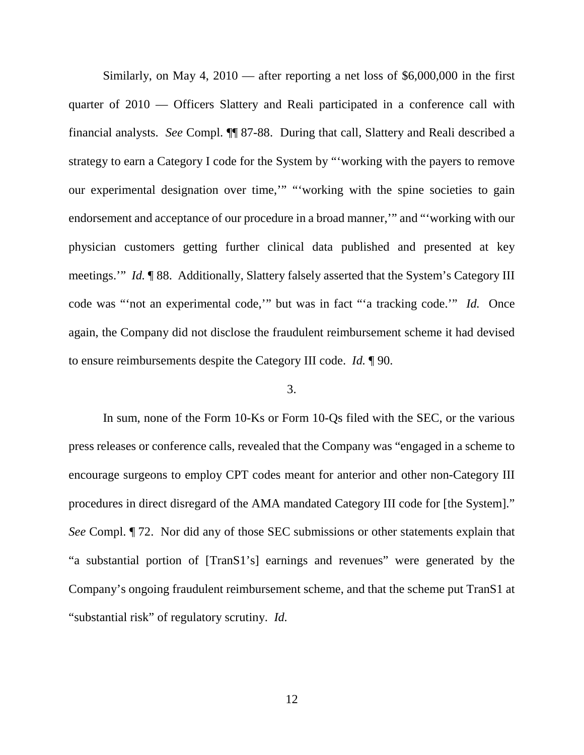Similarly, on May 4, 2010 — after reporting a net loss of \$6,000,000 in the first quarter of 2010 — Officers Slattery and Reali participated in a conference call with financial analysts. *See* Compl. ¶¶ 87-88. During that call, Slattery and Reali described a strategy to earn a Category I code for the System by "'working with the payers to remove our experimental designation over time,'" "'working with the spine societies to gain endorsement and acceptance of our procedure in a broad manner,'" and "'working with our physician customers getting further clinical data published and presented at key meetings.'" *Id.* ¶ 88. Additionally, Slattery falsely asserted that the System's Category III code was "'not an experimental code,'" but was in fact "'a tracking code.'" *Id.* Once again, the Company did not disclose the fraudulent reimbursement scheme it had devised to ensure reimbursements despite the Category III code. *Id.* ¶ 90.

# 3.

In sum, none of the Form 10-Ks or Form 10-Qs filed with the SEC, or the various press releases or conference calls, revealed that the Company was "engaged in a scheme to encourage surgeons to employ CPT codes meant for anterior and other non-Category III procedures in direct disregard of the AMA mandated Category III code for [the System]." *See* Compl. ¶ 72. Nor did any of those SEC submissions or other statements explain that "a substantial portion of [TranS1's] earnings and revenues" were generated by the Company's ongoing fraudulent reimbursement scheme, and that the scheme put TranS1 at "substantial risk" of regulatory scrutiny. *Id.*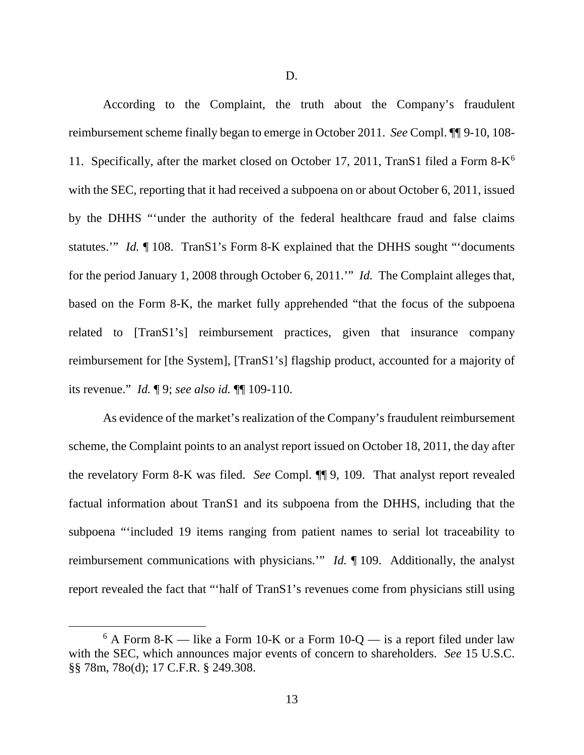D.

According to the Complaint, the truth about the Company's fraudulent reimbursement scheme finally began to emerge in October 2011. *See* Compl. ¶¶ 9-10, 108- 11. Specifically, after the market closed on October 17, 2011, TranS1 filed a Form  $8-K^6$  $8-K^6$ with the SEC, reporting that it had received a subpoena on or about October 6, 2011, issued by the DHHS "'under the authority of the federal healthcare fraud and false claims statutes.'" *Id.* ¶ 108. TranS1's Form 8-K explained that the DHHS sought "'documents for the period January 1, 2008 through October 6, 2011.'" *Id.* The Complaint alleges that, based on the Form 8-K, the market fully apprehended "that the focus of the subpoena related to [TranS1's] reimbursement practices, given that insurance company reimbursement for [the System], [TranS1's] flagship product, accounted for a majority of its revenue." *Id.* ¶ 9; *see also id.* ¶¶ 109-110.

As evidence of the market's realization of the Company's fraudulent reimbursement scheme, the Complaint points to an analyst report issued on October 18, 2011, the day after the revelatory Form 8-K was filed. *See* Compl. ¶¶ 9, 109. That analyst report revealed factual information about TranS1 and its subpoena from the DHHS, including that the subpoena "'included 19 items ranging from patient names to serial lot traceability to reimbursement communications with physicians.'" *Id.* ¶ 109. Additionally, the analyst report revealed the fact that "'half of TranS1's revenues come from physicians still using

<span id="page-12-0"></span> $6$  A Form 8-K — like a Form 10-K or a Form 10-Q — is a report filed under law with the SEC, which announces major events of concern to shareholders. *See* 15 U.S.C. §§ 78m, 78o(d); 17 C.F.R. § 249.308.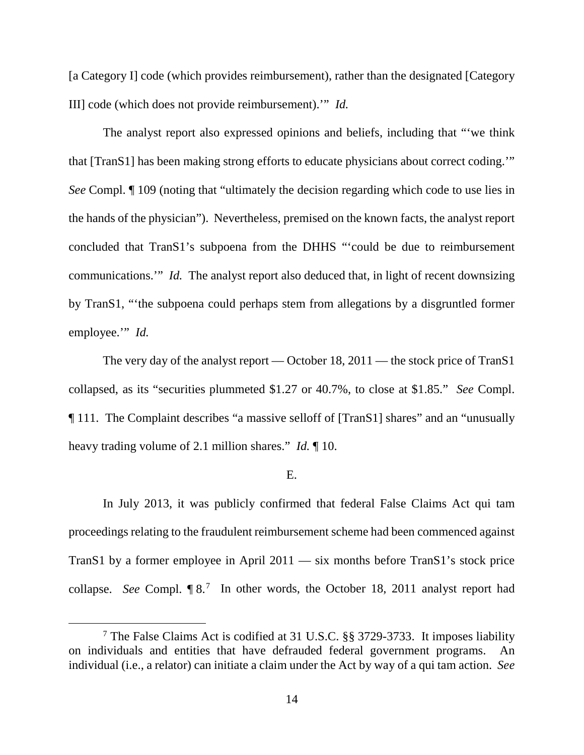[a Category I] code (which provides reimbursement), rather than the designated [Category III] code (which does not provide reimbursement).'" *Id.*

The analyst report also expressed opinions and beliefs, including that "'we think that [TranS1] has been making strong efforts to educate physicians about correct coding.'" *See* Compl. ¶ 109 (noting that "ultimately the decision regarding which code to use lies in the hands of the physician"). Nevertheless, premised on the known facts, the analyst report concluded that TranS1's subpoena from the DHHS "'could be due to reimbursement communications.'" *Id.* The analyst report also deduced that, in light of recent downsizing by TranS1, "'the subpoena could perhaps stem from allegations by a disgruntled former employee.'" *Id.*

The very day of the analyst report — October 18, 2011 — the stock price of TranS1 collapsed, as its "securities plummeted \$1.27 or 40.7%, to close at \$1.85." *See* Compl. ¶ 111. The Complaint describes "a massive selloff of [TranS1] shares" and an "unusually heavy trading volume of 2.1 million shares." *Id.* ¶ 10.

#### E.

In July 2013, it was publicly confirmed that federal False Claims Act qui tam proceedings relating to the fraudulent reimbursement scheme had been commenced against TranS1 by a former employee in April 2011 — six months before TranS1's stock price collapse. See Compl.  $\lbrack \! \lbrack 8 \rbrack^7 \rbrack$  $\lbrack \! \lbrack 8 \rbrack^7 \rbrack$  $\lbrack \! \lbrack 8 \rbrack^7 \rbrack$  In other words, the October 18, 2011 analyst report had

<span id="page-13-0"></span> <sup>7</sup> The False Claims Act is codified at 31 U.S.C. §§ 3729-3733. It imposes liability on individuals and entities that have defrauded federal government programs. An individual (i.e., a relator) can initiate a claim under the Act by way of a qui tam action. *See*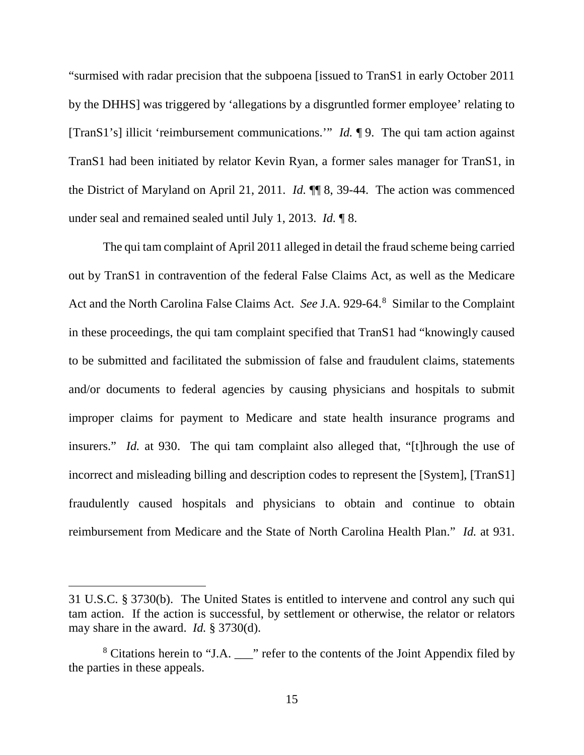"surmised with radar precision that the subpoena [issued to TranS1 in early October 2011 by the DHHS] was triggered by 'allegations by a disgruntled former employee' relating to [TranS1's] illicit 'reimbursement communications.'" *Id.* ¶ 9. The qui tam action against TranS1 had been initiated by relator Kevin Ryan, a former sales manager for TranS1, in the District of Maryland on April 21, 2011. *Id.* ¶¶ 8, 39-44. The action was commenced under seal and remained sealed until July 1, 2013. *Id.* ¶ 8.

The qui tam complaint of April 2011 alleged in detail the fraud scheme being carried out by TranS1 in contravention of the federal False Claims Act, as well as the Medicare Act and the North Carolina False Claims Act. *See* J.A. 929-64.[8](#page-14-0) Similar to the Complaint in these proceedings, the qui tam complaint specified that TranS1 had "knowingly caused to be submitted and facilitated the submission of false and fraudulent claims, statements and/or documents to federal agencies by causing physicians and hospitals to submit improper claims for payment to Medicare and state health insurance programs and insurers." *Id.* at 930. The qui tam complaint also alleged that, "[t]hrough the use of incorrect and misleading billing and description codes to represent the [System], [TranS1] fraudulently caused hospitals and physicians to obtain and continue to obtain reimbursement from Medicare and the State of North Carolina Health Plan." *Id.* at 931.

 $\overline{a}$ 

<sup>31</sup> U.S.C. § 3730(b). The United States is entitled to intervene and control any such qui tam action. If the action is successful, by settlement or otherwise, the relator or relators may share in the award. *Id.* § 3730(d).

<span id="page-14-0"></span><sup>&</sup>lt;sup>8</sup> Citations herein to "J.A.  $\frac{1}{2}$ " refer to the contents of the Joint Appendix filed by the parties in these appeals.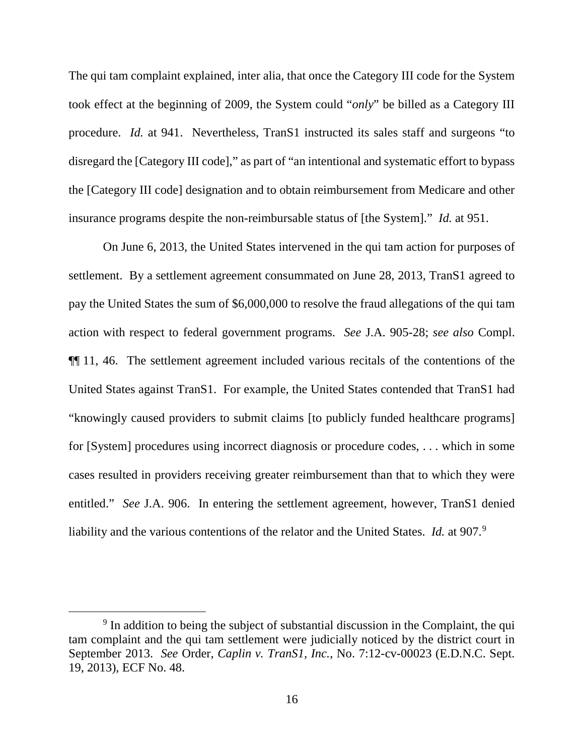The qui tam complaint explained, inter alia, that once the Category III code for the System took effect at the beginning of 2009, the System could "*only*" be billed as a Category III procedure. *Id.* at 941. Nevertheless, TranS1 instructed its sales staff and surgeons "to disregard the [Category III code]," as part of "an intentional and systematic effort to bypass the [Category III code] designation and to obtain reimbursement from Medicare and other insurance programs despite the non-reimbursable status of [the System]." *Id.* at 951.

On June 6, 2013, the United States intervened in the qui tam action for purposes of settlement. By a settlement agreement consummated on June 28, 2013, TranS1 agreed to pay the United States the sum of \$6,000,000 to resolve the fraud allegations of the qui tam action with respect to federal government programs. *See* J.A. 905-28; *see also* Compl. ¶¶ 11, 46. The settlement agreement included various recitals of the contentions of the United States against TranS1. For example, the United States contended that TranS1 had "knowingly caused providers to submit claims [to publicly funded healthcare programs] for [System] procedures using incorrect diagnosis or procedure codes, . . . which in some cases resulted in providers receiving greater reimbursement than that to which they were entitled." *See* J.A. 906. In entering the settlement agreement, however, TranS1 denied liability and the various contentions of the relator and the United States. *Id.* at [9](#page-15-0)07.<sup>9</sup>

<span id="page-15-0"></span><sup>&</sup>lt;sup>9</sup> In addition to being the subject of substantial discussion in the Complaint, the qui tam complaint and the qui tam settlement were judicially noticed by the district court in September 2013. *See* Order, *Caplin v. TranS1, Inc.*, No. 7:12-cv-00023 (E.D.N.C. Sept. 19, 2013), ECF No. 48.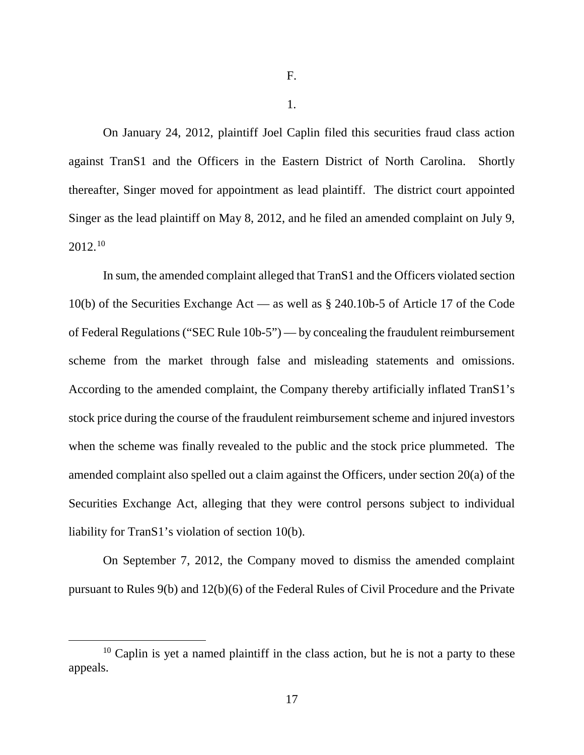1.

On January 24, 2012, plaintiff Joel Caplin filed this securities fraud class action against TranS1 and the Officers in the Eastern District of North Carolina. Shortly thereafter, Singer moved for appointment as lead plaintiff. The district court appointed Singer as the lead plaintiff on May 8, 2012, and he filed an amended complaint on July 9, 2012.[10](#page-16-0)

In sum, the amended complaint alleged that TranS1 and the Officers violated section 10(b) of the Securities Exchange Act — as well as § 240.10b-5 of Article 17 of the Code of Federal Regulations ("SEC Rule 10b-5") — by concealing the fraudulent reimbursement scheme from the market through false and misleading statements and omissions. According to the amended complaint, the Company thereby artificially inflated TranS1's stock price during the course of the fraudulent reimbursement scheme and injured investors when the scheme was finally revealed to the public and the stock price plummeted. The amended complaint also spelled out a claim against the Officers, under section 20(a) of the Securities Exchange Act, alleging that they were control persons subject to individual liability for TranS1's violation of section 10(b).

On September 7, 2012, the Company moved to dismiss the amended complaint pursuant to Rules 9(b) and 12(b)(6) of the Federal Rules of Civil Procedure and the Private

<span id="page-16-0"></span> $10$  Caplin is yet a named plaintiff in the class action, but he is not a party to these appeals.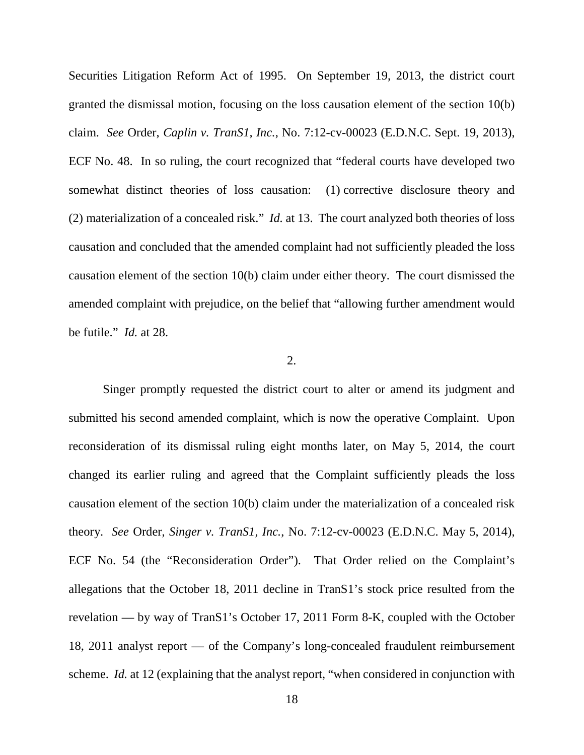Securities Litigation Reform Act of 1995. On September 19, 2013, the district court granted the dismissal motion, focusing on the loss causation element of the section 10(b) claim. *See* Order, *Caplin v. TranS1, Inc.*, No. 7:12-cv-00023 (E.D.N.C. Sept. 19, 2013), ECF No. 48. In so ruling, the court recognized that "federal courts have developed two somewhat distinct theories of loss causation: (1) corrective disclosure theory and (2) materialization of a concealed risk." *Id.* at 13. The court analyzed both theories of loss causation and concluded that the amended complaint had not sufficiently pleaded the loss causation element of the section 10(b) claim under either theory. The court dismissed the amended complaint with prejudice, on the belief that "allowing further amendment would be futile." *Id.* at 28.

#### 2.

Singer promptly requested the district court to alter or amend its judgment and submitted his second amended complaint, which is now the operative Complaint. Upon reconsideration of its dismissal ruling eight months later, on May 5, 2014, the court changed its earlier ruling and agreed that the Complaint sufficiently pleads the loss causation element of the section 10(b) claim under the materialization of a concealed risk theory. *See* Order, *Singer v. TranS1, Inc.*, No. 7:12-cv-00023 (E.D.N.C. May 5, 2014), ECF No. 54 (the "Reconsideration Order"). That Order relied on the Complaint's allegations that the October 18, 2011 decline in TranS1's stock price resulted from the revelation — by way of TranS1's October 17, 2011 Form 8-K, coupled with the October 18, 2011 analyst report — of the Company's long-concealed fraudulent reimbursement scheme. *Id.* at 12 (explaining that the analyst report, "when considered in conjunction with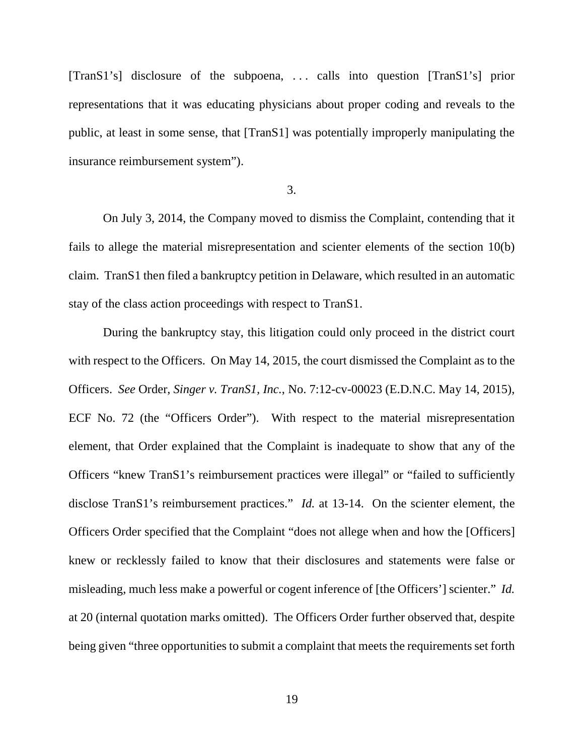[TranS1's] disclosure of the subpoena, . . . calls into question [TranS1's] prior representations that it was educating physicians about proper coding and reveals to the public, at least in some sense, that [TranS1] was potentially improperly manipulating the insurance reimbursement system").

#### 3.

On July 3, 2014, the Company moved to dismiss the Complaint, contending that it fails to allege the material misrepresentation and scienter elements of the section 10(b) claim. TranS1 then filed a bankruptcy petition in Delaware, which resulted in an automatic stay of the class action proceedings with respect to TranS1.

During the bankruptcy stay, this litigation could only proceed in the district court with respect to the Officers. On May 14, 2015, the court dismissed the Complaint as to the Officers. *See* Order, *Singer v. TranS1, Inc.*, No. 7:12-cv-00023 (E.D.N.C. May 14, 2015), ECF No. 72 (the "Officers Order"). With respect to the material misrepresentation element, that Order explained that the Complaint is inadequate to show that any of the Officers "knew TranS1's reimbursement practices were illegal" or "failed to sufficiently disclose TranS1's reimbursement practices." *Id.* at 13-14. On the scienter element, the Officers Order specified that the Complaint "does not allege when and how the [Officers] knew or recklessly failed to know that their disclosures and statements were false or misleading, much less make a powerful or cogent inference of [the Officers'] scienter." *Id.* at 20 (internal quotation marks omitted). The Officers Order further observed that, despite being given "three opportunities to submit a complaint that meets the requirements set forth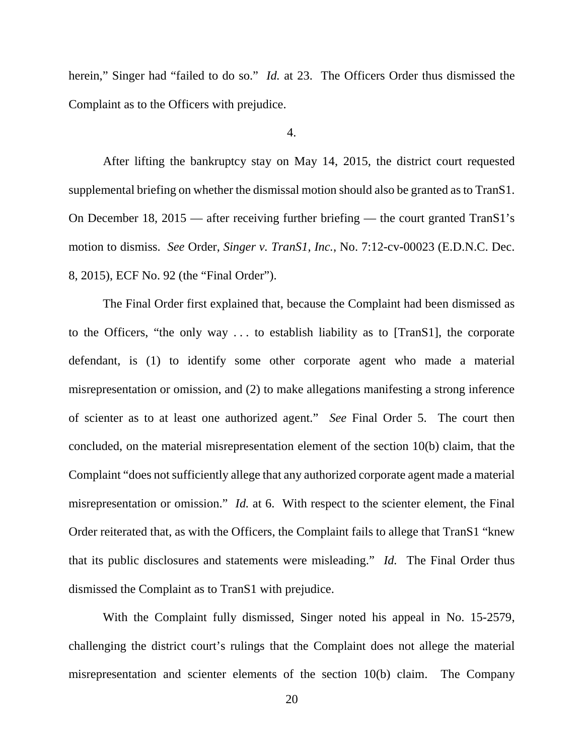herein," Singer had "failed to do so." *Id.* at 23. The Officers Order thus dismissed the Complaint as to the Officers with prejudice.

### 4.

After lifting the bankruptcy stay on May 14, 2015, the district court requested supplemental briefing on whether the dismissal motion should also be granted as to TranS1. On December 18, 2015 — after receiving further briefing — the court granted TranS1's motion to dismiss. *See* Order, *Singer v. TranS1, Inc.*, No. 7:12-cv-00023 (E.D.N.C. Dec. 8, 2015), ECF No. 92 (the "Final Order").

The Final Order first explained that, because the Complaint had been dismissed as to the Officers, "the only way . . . to establish liability as to [TranS1], the corporate defendant, is (1) to identify some other corporate agent who made a material misrepresentation or omission, and (2) to make allegations manifesting a strong inference of scienter as to at least one authorized agent." *See* Final Order 5. The court then concluded, on the material misrepresentation element of the section 10(b) claim, that the Complaint "does not sufficiently allege that any authorized corporate agent made a material misrepresentation or omission." *Id.* at 6. With respect to the scienter element, the Final Order reiterated that, as with the Officers, the Complaint fails to allege that TranS1 "knew that its public disclosures and statements were misleading." *Id.* The Final Order thus dismissed the Complaint as to TranS1 with prejudice.

With the Complaint fully dismissed, Singer noted his appeal in No. 15-2579, challenging the district court's rulings that the Complaint does not allege the material misrepresentation and scienter elements of the section 10(b) claim. The Company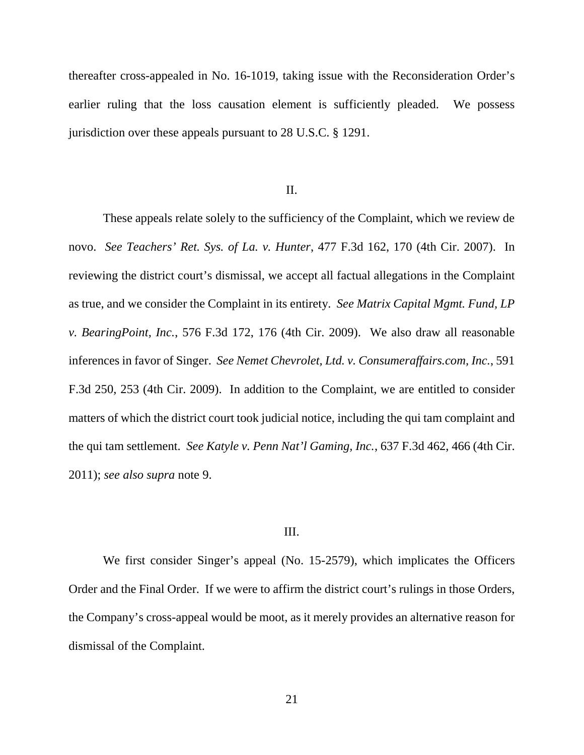thereafter cross-appealed in No. 16-1019, taking issue with the Reconsideration Order's earlier ruling that the loss causation element is sufficiently pleaded. We possess jurisdiction over these appeals pursuant to 28 U.S.C. § 1291.

#### II.

These appeals relate solely to the sufficiency of the Complaint, which we review de novo. *See Teachers' Ret. Sys. of La. v. Hunter*, 477 F.3d 162, 170 (4th Cir. 2007). In reviewing the district court's dismissal, we accept all factual allegations in the Complaint as true, and we consider the Complaint in its entirety. *See Matrix Capital Mgmt. Fund, LP v. BearingPoint, Inc.*, 576 F.3d 172, 176 (4th Cir. 2009). We also draw all reasonable inferences in favor of Singer. *See Nemet Chevrolet, Ltd. v. Consumeraffairs.com, Inc.*, 591 F.3d 250, 253 (4th Cir. 2009). In addition to the Complaint, we are entitled to consider matters of which the district court took judicial notice, including the qui tam complaint and the qui tam settlement. *See Katyle v. Penn Nat'l Gaming, Inc.*, 637 F.3d 462, 466 (4th Cir. 2011); *see also supra* note 9.

#### III.

We first consider Singer's appeal (No. 15-2579), which implicates the Officers Order and the Final Order. If we were to affirm the district court's rulings in those Orders, the Company's cross-appeal would be moot, as it merely provides an alternative reason for dismissal of the Complaint.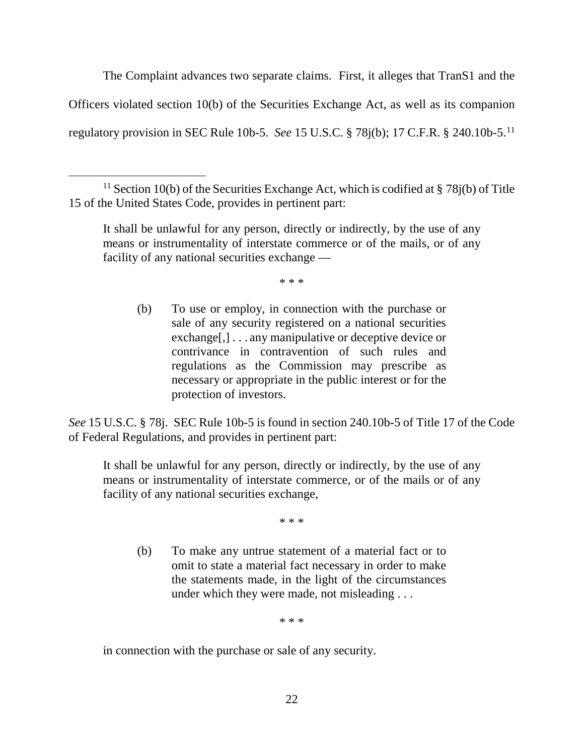The Complaint advances two separate claims. First, it alleges that TranS1 and the Officers violated section 10(b) of the Securities Exchange Act, as well as its companion regulatory provision in SEC Rule 10b-5. *See* 15 U.S.C. § 78j(b); 17 C.F.R. § 240.10b-5.[11](#page-21-0)

\* \* \*

(b) To use or employ, in connection with the purchase or sale of any security registered on a national securities exchange[,] . . . any manipulative or deceptive device or contrivance in contravention of such rules and regulations as the Commission may prescribe as necessary or appropriate in the public interest or for the protection of investors.

*See* 15 U.S.C. § 78j. SEC Rule 10b-5 is found in section 240.10b-5 of Title 17 of the Code of Federal Regulations, and provides in pertinent part:

It shall be unlawful for any person, directly or indirectly, by the use of any means or instrumentality of interstate commerce, or of the mails or of any facility of any national securities exchange,

\* \* \*

(b) To make any untrue statement of a material fact or to omit to state a material fact necessary in order to make the statements made, in the light of the circumstances under which they were made, not misleading . . .

\* \* \*

in connection with the purchase or sale of any security.

<span id="page-21-0"></span><sup>&</sup>lt;sup>11</sup> Section 10(b) of the Securities Exchange Act, which is codified at § 78j(b) of Title 15 of the United States Code, provides in pertinent part:

It shall be unlawful for any person, directly or indirectly, by the use of any means or instrumentality of interstate commerce or of the mails, or of any facility of any national securities exchange —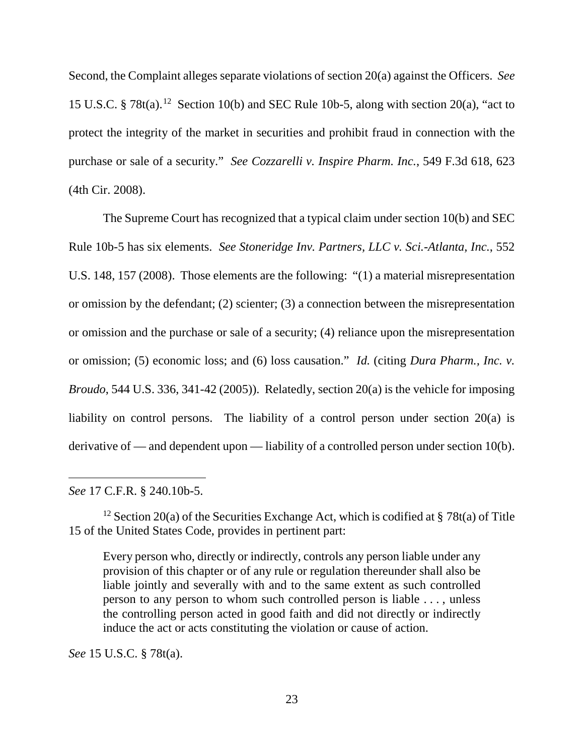Second, the Complaint alleges separate violations of section 20(a) against the Officers. *See*  15 U.S.C. § 78t(a).<sup>12</sup> Section 10(b) and SEC Rule 10b-5, along with section 20(a), "act to protect the integrity of the market in securities and prohibit fraud in connection with the purchase or sale of a security." *See Cozzarelli v. Inspire Pharm. Inc.*, 549 F.3d 618, 623 (4th Cir. 2008).

The Supreme Court has recognized that a typical claim under section 10(b) and SEC Rule 10b-5 has six elements. *See Stoneridge Inv. Partners, LLC v. Sci.-Atlanta, Inc.*, 552 U.S. 148, 157 (2008). Those elements are the following: "(1) a material misrepresentation or omission by the defendant; (2) scienter; (3) a connection between the misrepresentation or omission and the purchase or sale of a security; (4) reliance upon the misrepresentation or omission; (5) economic loss; and (6) loss causation." *Id.* (citing *Dura Pharm., Inc. v. Broudo*, 544 U.S. 336, 341-42 (2005)). Relatedly, section 20(a) is the vehicle for imposing liability on control persons. The liability of a control person under section 20(a) is derivative of — and dependent upon — liability of a controlled person under section 10(b).

*See* 17 C.F.R. § 240.10b-5.

 $\overline{a}$ 

Every person who, directly or indirectly, controls any person liable under any provision of this chapter or of any rule or regulation thereunder shall also be liable jointly and severally with and to the same extent as such controlled person to any person to whom such controlled person is liable . . . , unless the controlling person acted in good faith and did not directly or indirectly induce the act or acts constituting the violation or cause of action.

*See* 15 U.S.C. § 78t(a).

<span id="page-22-0"></span><sup>&</sup>lt;sup>12</sup> Section 20(a) of the Securities Exchange Act, which is codified at § 78t(a) of Title 15 of the United States Code, provides in pertinent part: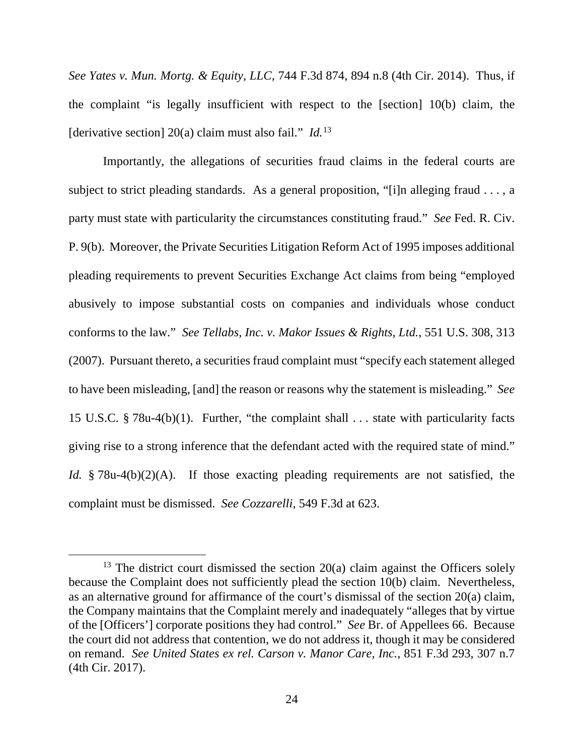*See Yates v. Mun. Mortg. & Equity, LLC*, 744 F.3d 874, 894 n.8 (4th Cir. 2014). Thus, if the complaint "is legally insufficient with respect to the [section] 10(b) claim, the [derivative section] 20(a) claim must also fail." *Id.*[13](#page-23-0)

Importantly, the allegations of securities fraud claims in the federal courts are subject to strict pleading standards. As a general proposition, "[i]n alleging fraud . . . , a party must state with particularity the circumstances constituting fraud." *See* Fed. R. Civ. P. 9(b). Moreover, the Private Securities Litigation Reform Act of 1995 imposes additional pleading requirements to prevent Securities Exchange Act claims from being "employed abusively to impose substantial costs on companies and individuals whose conduct conforms to the law." *See Tellabs, Inc. v. Makor Issues & Rights, Ltd.*, 551 U.S. 308, 313 (2007). Pursuant thereto, a securities fraud complaint must "specify each statement alleged to have been misleading, [and] the reason or reasons why the statement is misleading." *See*  15 U.S.C. § 78u-4(b)(1). Further, "the complaint shall . . . state with particularity facts giving rise to a strong inference that the defendant acted with the required state of mind." *Id.* § 78u-4(b)(2)(A). If those exacting pleading requirements are not satisfied, the complaint must be dismissed. *See Cozzarelli*, 549 F.3d at 623.

<span id="page-23-0"></span><sup>&</sup>lt;sup>13</sup> The district court dismissed the section  $20(a)$  claim against the Officers solely because the Complaint does not sufficiently plead the section 10(b) claim. Nevertheless, as an alternative ground for affirmance of the court's dismissal of the section 20(a) claim, the Company maintains that the Complaint merely and inadequately "alleges that by virtue of the [Officers'] corporate positions they had control." *See* Br. of Appellees 66. Because the court did not address that contention, we do not address it, though it may be considered on remand. *See United States ex rel. Carson v. Manor Care, Inc.*, 851 F.3d 293, 307 n.7 (4th Cir. 2017).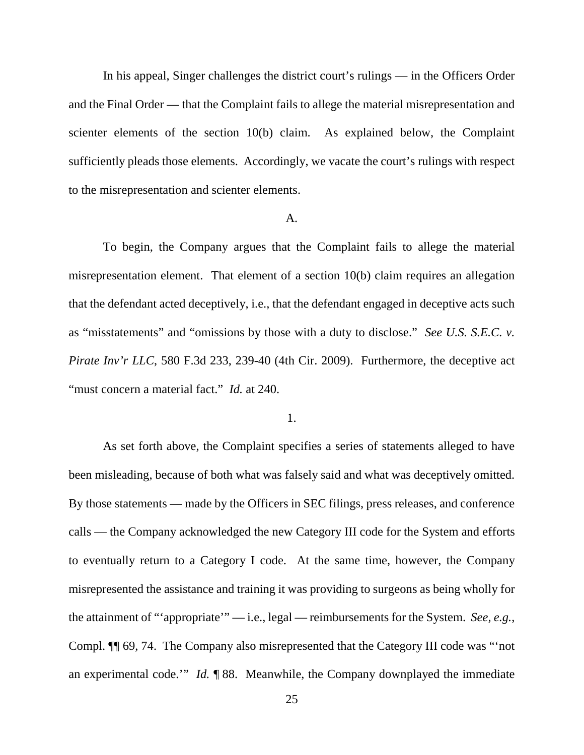In his appeal, Singer challenges the district court's rulings — in the Officers Order and the Final Order — that the Complaint fails to allege the material misrepresentation and scienter elements of the section 10(b) claim. As explained below, the Complaint sufficiently pleads those elements. Accordingly, we vacate the court's rulings with respect to the misrepresentation and scienter elements.

#### A.

To begin, the Company argues that the Complaint fails to allege the material misrepresentation element. That element of a section 10(b) claim requires an allegation that the defendant acted deceptively, i.e., that the defendant engaged in deceptive acts such as "misstatements" and "omissions by those with a duty to disclose." *See U.S. S.E.C. v. Pirate Inv'r LLC*, 580 F.3d 233, 239-40 (4th Cir. 2009). Furthermore, the deceptive act "must concern a material fact." *Id.* at 240.

### 1.

As set forth above, the Complaint specifies a series of statements alleged to have been misleading, because of both what was falsely said and what was deceptively omitted. By those statements — made by the Officers in SEC filings, press releases, and conference calls — the Company acknowledged the new Category III code for the System and efforts to eventually return to a Category I code. At the same time, however, the Company misrepresented the assistance and training it was providing to surgeons as being wholly for the attainment of "'appropriate'" — i.e., legal — reimbursements for the System. *See, e.g.*, Compl. ¶¶ 69, 74. The Company also misrepresented that the Category III code was "'not an experimental code.'" *Id.* ¶ 88. Meanwhile, the Company downplayed the immediate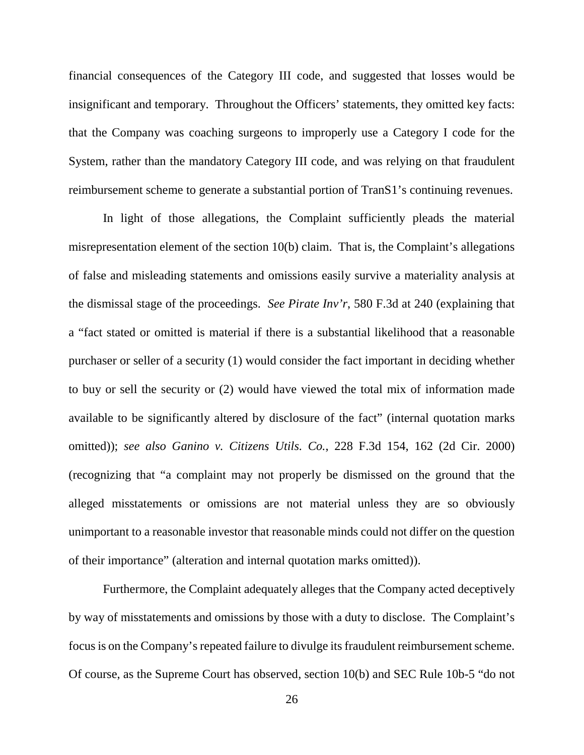financial consequences of the Category III code, and suggested that losses would be insignificant and temporary. Throughout the Officers' statements, they omitted key facts: that the Company was coaching surgeons to improperly use a Category I code for the System, rather than the mandatory Category III code, and was relying on that fraudulent reimbursement scheme to generate a substantial portion of TranS1's continuing revenues.

In light of those allegations, the Complaint sufficiently pleads the material misrepresentation element of the section 10(b) claim. That is, the Complaint's allegations of false and misleading statements and omissions easily survive a materiality analysis at the dismissal stage of the proceedings. *See Pirate Inv'r*, 580 F.3d at 240 (explaining that a "fact stated or omitted is material if there is a substantial likelihood that a reasonable purchaser or seller of a security (1) would consider the fact important in deciding whether to buy or sell the security or (2) would have viewed the total mix of information made available to be significantly altered by disclosure of the fact" (internal quotation marks omitted)); *see also Ganino v. Citizens Utils. Co.*, 228 F.3d 154, 162 (2d Cir. 2000) (recognizing that "a complaint may not properly be dismissed on the ground that the alleged misstatements or omissions are not material unless they are so obviously unimportant to a reasonable investor that reasonable minds could not differ on the question of their importance" (alteration and internal quotation marks omitted)).

Furthermore, the Complaint adequately alleges that the Company acted deceptively by way of misstatements and omissions by those with a duty to disclose. The Complaint's focus is on the Company's repeated failure to divulge its fraudulent reimbursement scheme. Of course, as the Supreme Court has observed, section 10(b) and SEC Rule 10b-5 "do not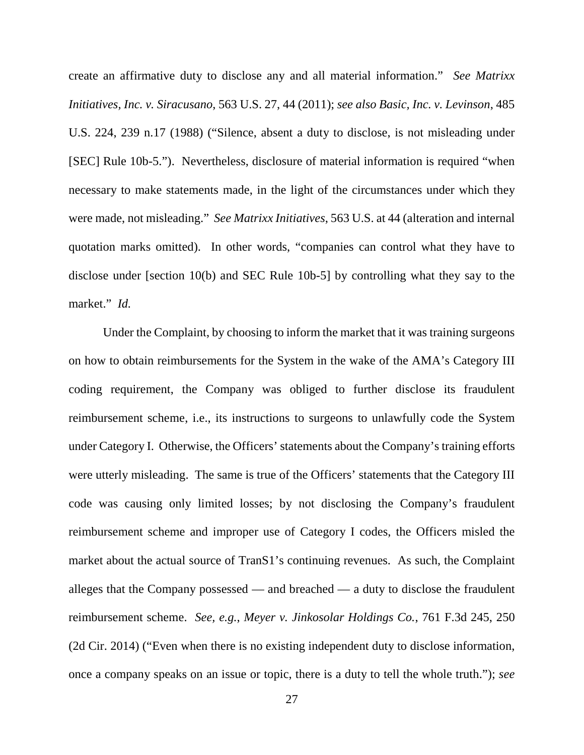create an affirmative duty to disclose any and all material information." *See Matrixx Initiatives, Inc. v. Siracusano*, 563 U.S. 27, 44 (2011); *see also Basic, Inc. v. Levinson*, 485 U.S. 224, 239 n.17 (1988) ("Silence, absent a duty to disclose, is not misleading under [SEC] Rule 10b-5."). Nevertheless, disclosure of material information is required "when necessary to make statements made, in the light of the circumstances under which they were made, not misleading." *See Matrixx Initiatives*, 563 U.S. at 44 (alteration and internal quotation marks omitted). In other words, "companies can control what they have to disclose under [section 10(b) and SEC Rule 10b-5] by controlling what they say to the market." *Id.*

Under the Complaint, by choosing to inform the market that it was training surgeons on how to obtain reimbursements for the System in the wake of the AMA's Category III coding requirement, the Company was obliged to further disclose its fraudulent reimbursement scheme, i.e., its instructions to surgeons to unlawfully code the System under Category I. Otherwise, the Officers' statements about the Company's training efforts were utterly misleading. The same is true of the Officers' statements that the Category III code was causing only limited losses; by not disclosing the Company's fraudulent reimbursement scheme and improper use of Category I codes, the Officers misled the market about the actual source of TranS1's continuing revenues. As such, the Complaint alleges that the Company possessed — and breached — a duty to disclose the fraudulent reimbursement scheme. *See, e.g.*, *Meyer v. Jinkosolar Holdings Co.*, 761 F.3d 245, 250 (2d Cir. 2014) ("Even when there is no existing independent duty to disclose information, once a company speaks on an issue or topic, there is a duty to tell the whole truth."); *see*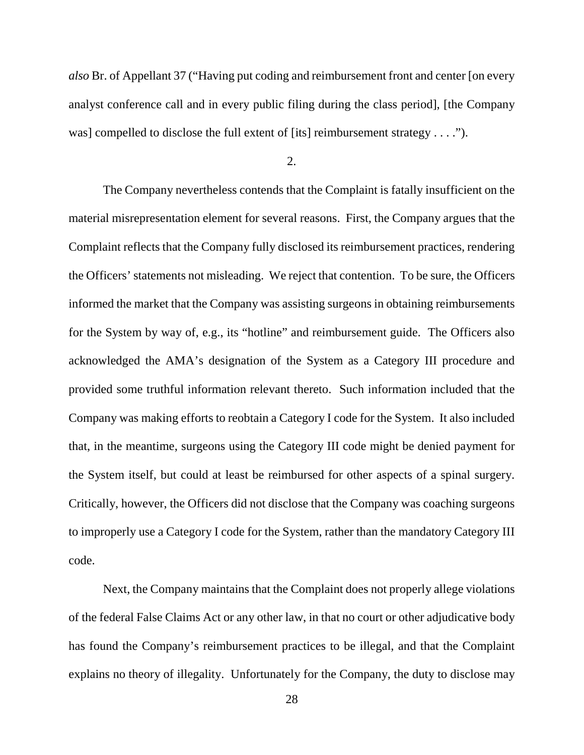*also* Br. of Appellant 37 ("Having put coding and reimbursement front and center [on every analyst conference call and in every public filing during the class period], [the Company was] compelled to disclose the full extent of [its] reimbursement strategy . . . .").

#### 2.

The Company nevertheless contends that the Complaint is fatally insufficient on the material misrepresentation element for several reasons. First, the Company argues that the Complaint reflects that the Company fully disclosed its reimbursement practices, rendering the Officers' statements not misleading. We reject that contention. To be sure, the Officers informed the market that the Company was assisting surgeons in obtaining reimbursements for the System by way of, e.g., its "hotline" and reimbursement guide. The Officers also acknowledged the AMA's designation of the System as a Category III procedure and provided some truthful information relevant thereto. Such information included that the Company was making efforts to reobtain a Category I code for the System. It also included that, in the meantime, surgeons using the Category III code might be denied payment for the System itself, but could at least be reimbursed for other aspects of a spinal surgery. Critically, however, the Officers did not disclose that the Company was coaching surgeons to improperly use a Category I code for the System, rather than the mandatory Category III code.

Next, the Company maintains that the Complaint does not properly allege violations of the federal False Claims Act or any other law, in that no court or other adjudicative body has found the Company's reimbursement practices to be illegal, and that the Complaint explains no theory of illegality. Unfortunately for the Company, the duty to disclose may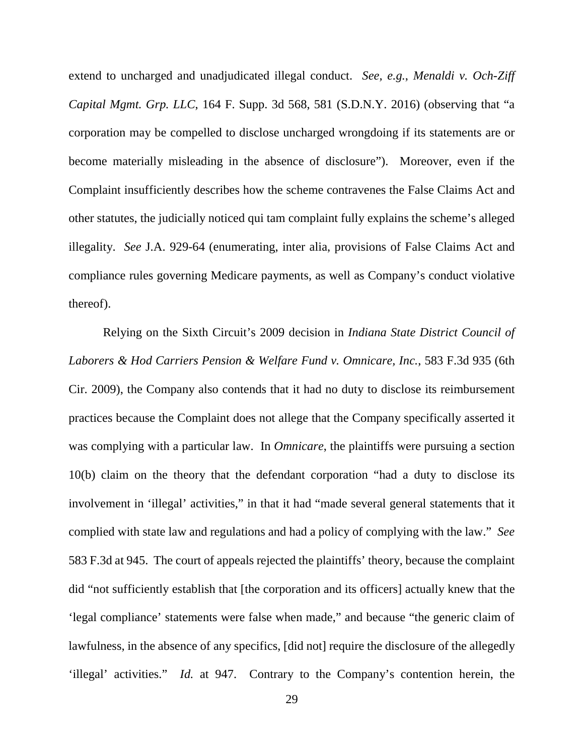extend to uncharged and unadjudicated illegal conduct. *See, e.g.*, *Menaldi v. Och-Ziff Capital Mgmt. Grp. LLC*, 164 F. Supp. 3d 568, 581 (S.D.N.Y. 2016) (observing that "a corporation may be compelled to disclose uncharged wrongdoing if its statements are or become materially misleading in the absence of disclosure"). Moreover, even if the Complaint insufficiently describes how the scheme contravenes the False Claims Act and other statutes, the judicially noticed qui tam complaint fully explains the scheme's alleged illegality. *See* J.A. 929-64 (enumerating, inter alia, provisions of False Claims Act and compliance rules governing Medicare payments, as well as Company's conduct violative thereof).

Relying on the Sixth Circuit's 2009 decision in *Indiana State District Council of Laborers & Hod Carriers Pension & Welfare Fund v. Omnicare, Inc.*, 583 F.3d 935 (6th Cir. 2009), the Company also contends that it had no duty to disclose its reimbursement practices because the Complaint does not allege that the Company specifically asserted it was complying with a particular law. In *Omnicare*, the plaintiffs were pursuing a section 10(b) claim on the theory that the defendant corporation "had a duty to disclose its involvement in 'illegal' activities," in that it had "made several general statements that it complied with state law and regulations and had a policy of complying with the law." *See* 583 F.3d at 945. The court of appeals rejected the plaintiffs' theory, because the complaint did "not sufficiently establish that [the corporation and its officers] actually knew that the 'legal compliance' statements were false when made," and because "the generic claim of lawfulness, in the absence of any specifics, [did not] require the disclosure of the allegedly 'illegal' activities." *Id.* at 947. Contrary to the Company's contention herein, the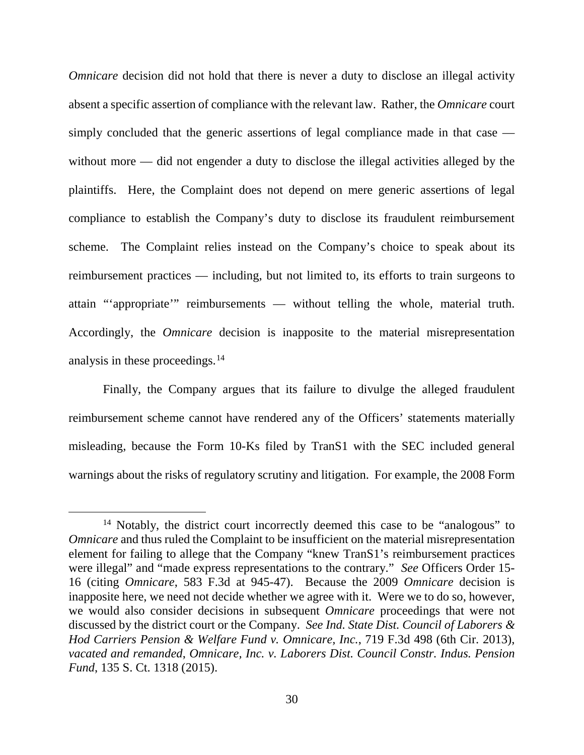*Omnicare* decision did not hold that there is never a duty to disclose an illegal activity absent a specific assertion of compliance with the relevant law. Rather, the *Omnicare* court simply concluded that the generic assertions of legal compliance made in that case without more — did not engender a duty to disclose the illegal activities alleged by the plaintiffs. Here, the Complaint does not depend on mere generic assertions of legal compliance to establish the Company's duty to disclose its fraudulent reimbursement scheme. The Complaint relies instead on the Company's choice to speak about its reimbursement practices — including, but not limited to, its efforts to train surgeons to attain "'appropriate'" reimbursements — without telling the whole, material truth. Accordingly, the *Omnicare* decision is inapposite to the material misrepresentation analysis in these proceedings. [14](#page-29-0)

Finally, the Company argues that its failure to divulge the alleged fraudulent reimbursement scheme cannot have rendered any of the Officers' statements materially misleading, because the Form 10-Ks filed by TranS1 with the SEC included general warnings about the risks of regulatory scrutiny and litigation. For example, the 2008 Form

<span id="page-29-0"></span><sup>&</sup>lt;sup>14</sup> Notably, the district court incorrectly deemed this case to be "analogous" to *Omnicare* and thus ruled the Complaint to be insufficient on the material misrepresentation element for failing to allege that the Company "knew TranS1's reimbursement practices were illegal" and "made express representations to the contrary." *See* Officers Order 15- 16 (citing *Omnicare*, 583 F.3d at 945-47). Because the 2009 *Omnicare* decision is inapposite here, we need not decide whether we agree with it. Were we to do so, however, we would also consider decisions in subsequent *Omnicare* proceedings that were not discussed by the district court or the Company. *See Ind. State Dist. Council of Laborers & Hod Carriers Pension & Welfare Fund v. Omnicare, Inc.*, 719 F.3d 498 (6th Cir. 2013), *vacated and remanded*, *Omnicare, Inc. v. Laborers Dist. Council Constr. Indus. Pension Fund*, 135 S. Ct. 1318 (2015).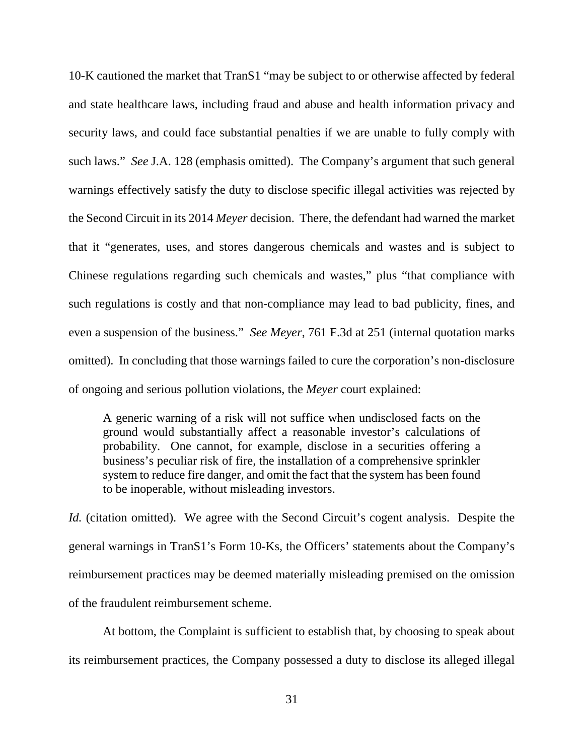10-K cautioned the market that TranS1 "may be subject to or otherwise affected by federal and state healthcare laws, including fraud and abuse and health information privacy and security laws, and could face substantial penalties if we are unable to fully comply with such laws." *See* J.A. 128 (emphasis omitted). The Company's argument that such general warnings effectively satisfy the duty to disclose specific illegal activities was rejected by the Second Circuit in its 2014 *Meyer* decision. There, the defendant had warned the market that it "generates, uses, and stores dangerous chemicals and wastes and is subject to Chinese regulations regarding such chemicals and wastes," plus "that compliance with such regulations is costly and that non-compliance may lead to bad publicity, fines, and even a suspension of the business." *See Meyer*, 761 F.3d at 251 (internal quotation marks omitted). In concluding that those warnings failed to cure the corporation's non-disclosure of ongoing and serious pollution violations, the *Meyer* court explained:

A generic warning of a risk will not suffice when undisclosed facts on the ground would substantially affect a reasonable investor's calculations of probability. One cannot, for example, disclose in a securities offering a business's peculiar risk of fire, the installation of a comprehensive sprinkler system to reduce fire danger, and omit the fact that the system has been found to be inoperable, without misleading investors.

*Id.* (citation omitted). We agree with the Second Circuit's cogent analysis. Despite the general warnings in TranS1's Form 10-Ks, the Officers' statements about the Company's reimbursement practices may be deemed materially misleading premised on the omission of the fraudulent reimbursement scheme.

At bottom, the Complaint is sufficient to establish that, by choosing to speak about its reimbursement practices, the Company possessed a duty to disclose its alleged illegal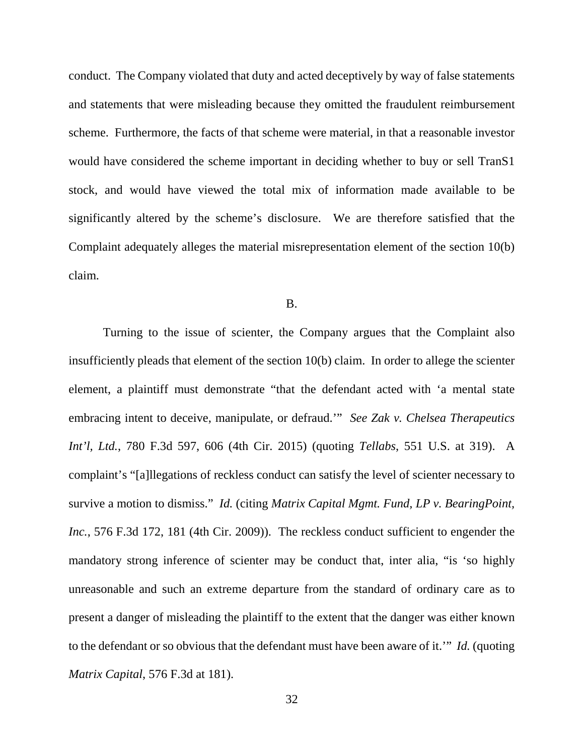conduct. The Company violated that duty and acted deceptively by way of false statements and statements that were misleading because they omitted the fraudulent reimbursement scheme. Furthermore, the facts of that scheme were material, in that a reasonable investor would have considered the scheme important in deciding whether to buy or sell TranS1 stock, and would have viewed the total mix of information made available to be significantly altered by the scheme's disclosure. We are therefore satisfied that the Complaint adequately alleges the material misrepresentation element of the section 10(b) claim.

#### B.

Turning to the issue of scienter, the Company argues that the Complaint also insufficiently pleads that element of the section 10(b) claim. In order to allege the scienter element, a plaintiff must demonstrate "that the defendant acted with 'a mental state embracing intent to deceive, manipulate, or defraud.'" *See Zak v. Chelsea Therapeutics Int'l, Ltd.*, 780 F.3d 597, 606 (4th Cir. 2015) (quoting *Tellabs*, 551 U.S. at 319). A complaint's "[a]llegations of reckless conduct can satisfy the level of scienter necessary to survive a motion to dismiss." *Id.* (citing *Matrix Capital Mgmt. Fund, LP v. BearingPoint, Inc.*, 576 F.3d 172, 181 (4th Cir. 2009)). The reckless conduct sufficient to engender the mandatory strong inference of scienter may be conduct that, inter alia, "is 'so highly unreasonable and such an extreme departure from the standard of ordinary care as to present a danger of misleading the plaintiff to the extent that the danger was either known to the defendant or so obvious that the defendant must have been aware of it.'" *Id.* (quoting *Matrix Capital*, 576 F.3d at 181).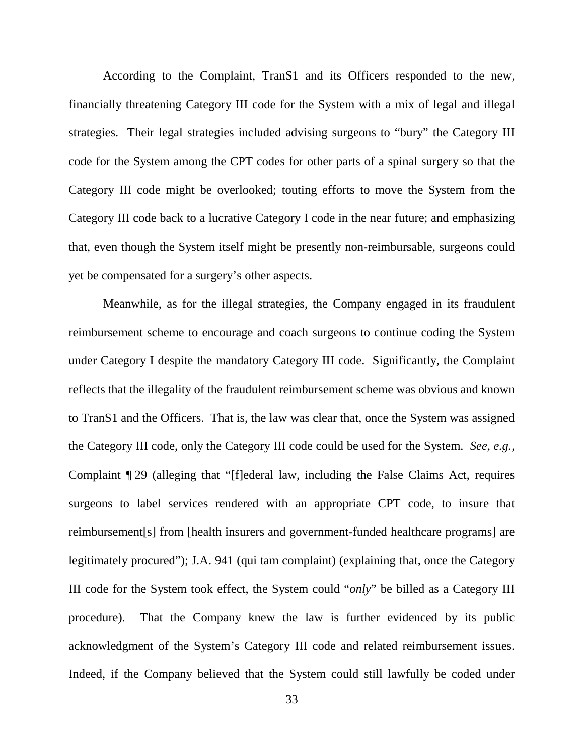According to the Complaint, TranS1 and its Officers responded to the new, financially threatening Category III code for the System with a mix of legal and illegal strategies. Their legal strategies included advising surgeons to "bury" the Category III code for the System among the CPT codes for other parts of a spinal surgery so that the Category III code might be overlooked; touting efforts to move the System from the Category III code back to a lucrative Category I code in the near future; and emphasizing that, even though the System itself might be presently non-reimbursable, surgeons could yet be compensated for a surgery's other aspects.

Meanwhile, as for the illegal strategies, the Company engaged in its fraudulent reimbursement scheme to encourage and coach surgeons to continue coding the System under Category I despite the mandatory Category III code. Significantly, the Complaint reflects that the illegality of the fraudulent reimbursement scheme was obvious and known to TranS1 and the Officers. That is, the law was clear that, once the System was assigned the Category III code, only the Category III code could be used for the System. *See, e.g.*, Complaint ¶ 29 (alleging that "[f]ederal law, including the False Claims Act, requires surgeons to label services rendered with an appropriate CPT code, to insure that reimbursement[s] from [health insurers and government-funded healthcare programs] are legitimately procured"); J.A. 941 (qui tam complaint) (explaining that, once the Category III code for the System took effect, the System could "*only*" be billed as a Category III procedure). That the Company knew the law is further evidenced by its public acknowledgment of the System's Category III code and related reimbursement issues. Indeed, if the Company believed that the System could still lawfully be coded under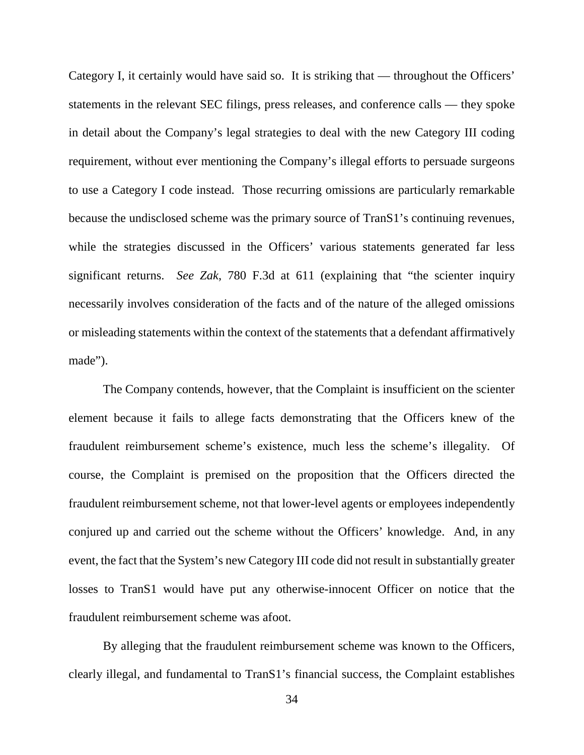Category I, it certainly would have said so. It is striking that — throughout the Officers' statements in the relevant SEC filings, press releases, and conference calls — they spoke in detail about the Company's legal strategies to deal with the new Category III coding requirement, without ever mentioning the Company's illegal efforts to persuade surgeons to use a Category I code instead. Those recurring omissions are particularly remarkable because the undisclosed scheme was the primary source of TranS1's continuing revenues, while the strategies discussed in the Officers' various statements generated far less significant returns. *See Zak*, 780 F.3d at 611 (explaining that "the scienter inquiry necessarily involves consideration of the facts and of the nature of the alleged omissions or misleading statements within the context of the statements that a defendant affirmatively made").

The Company contends, however, that the Complaint is insufficient on the scienter element because it fails to allege facts demonstrating that the Officers knew of the fraudulent reimbursement scheme's existence, much less the scheme's illegality. Of course, the Complaint is premised on the proposition that the Officers directed the fraudulent reimbursement scheme, not that lower-level agents or employees independently conjured up and carried out the scheme without the Officers' knowledge. And, in any event, the fact that the System's new Category III code did not result in substantially greater losses to TranS1 would have put any otherwise-innocent Officer on notice that the fraudulent reimbursement scheme was afoot.

By alleging that the fraudulent reimbursement scheme was known to the Officers, clearly illegal, and fundamental to TranS1's financial success, the Complaint establishes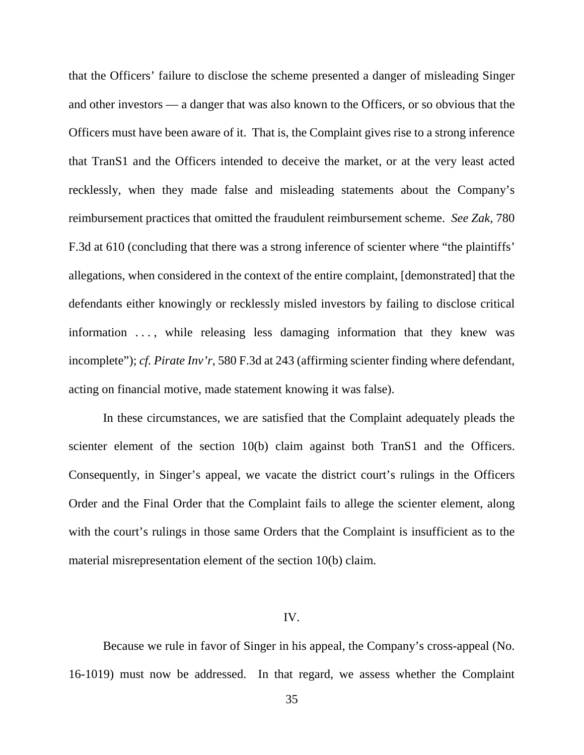that the Officers' failure to disclose the scheme presented a danger of misleading Singer and other investors — a danger that was also known to the Officers, or so obvious that the Officers must have been aware of it. That is, the Complaint gives rise to a strong inference that TranS1 and the Officers intended to deceive the market, or at the very least acted recklessly, when they made false and misleading statements about the Company's reimbursement practices that omitted the fraudulent reimbursement scheme. *See Zak*, 780 F.3d at 610 (concluding that there was a strong inference of scienter where "the plaintiffs' allegations, when considered in the context of the entire complaint, [demonstrated] that the defendants either knowingly or recklessly misled investors by failing to disclose critical information ..., while releasing less damaging information that they knew was incomplete"); *cf. Pirate Inv'r*, 580 F.3d at 243 (affirming scienter finding where defendant, acting on financial motive, made statement knowing it was false).

In these circumstances, we are satisfied that the Complaint adequately pleads the scienter element of the section 10(b) claim against both TranS1 and the Officers. Consequently, in Singer's appeal, we vacate the district court's rulings in the Officers Order and the Final Order that the Complaint fails to allege the scienter element, along with the court's rulings in those same Orders that the Complaint is insufficient as to the material misrepresentation element of the section 10(b) claim.

#### IV.

Because we rule in favor of Singer in his appeal, the Company's cross-appeal (No. 16-1019) must now be addressed. In that regard, we assess whether the Complaint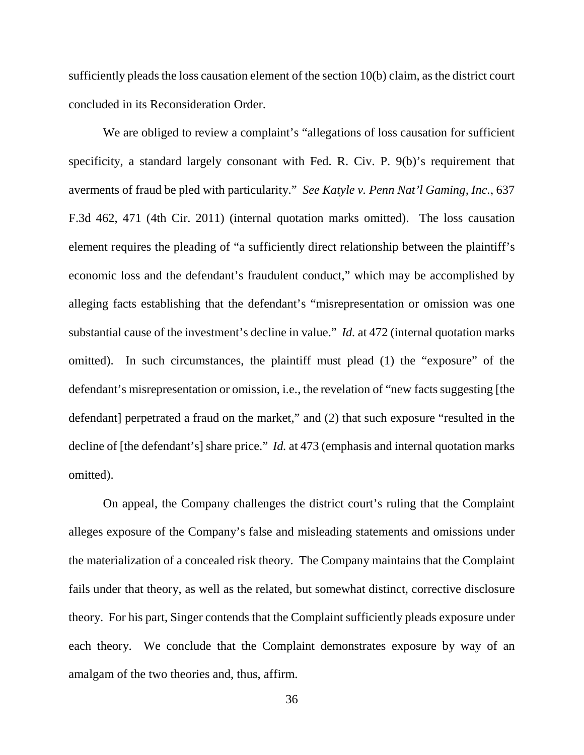sufficiently pleads the loss causation element of the section 10(b) claim, as the district court concluded in its Reconsideration Order.

We are obliged to review a complaint's "allegations of loss causation for sufficient specificity, a standard largely consonant with Fed. R. Civ. P. 9(b)'s requirement that averments of fraud be pled with particularity." *See Katyle v. Penn Nat'l Gaming, Inc.*, 637 F.3d 462, 471 (4th Cir. 2011) (internal quotation marks omitted). The loss causation element requires the pleading of "a sufficiently direct relationship between the plaintiff's economic loss and the defendant's fraudulent conduct," which may be accomplished by alleging facts establishing that the defendant's "misrepresentation or omission was one substantial cause of the investment's decline in value." *Id.* at 472 (internal quotation marks omitted). In such circumstances, the plaintiff must plead (1) the "exposure" of the defendant's misrepresentation or omission, i.e., the revelation of "new facts suggesting [the defendant] perpetrated a fraud on the market," and (2) that such exposure "resulted in the decline of [the defendant's] share price." *Id.* at 473 (emphasis and internal quotation marks omitted).

On appeal, the Company challenges the district court's ruling that the Complaint alleges exposure of the Company's false and misleading statements and omissions under the materialization of a concealed risk theory. The Company maintains that the Complaint fails under that theory, as well as the related, but somewhat distinct, corrective disclosure theory. For his part, Singer contends that the Complaint sufficiently pleads exposure under each theory. We conclude that the Complaint demonstrates exposure by way of an amalgam of the two theories and, thus, affirm.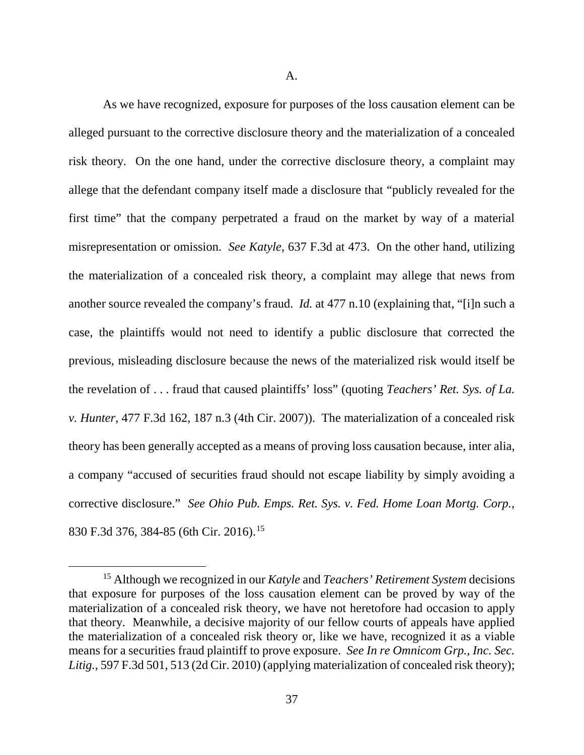A.

As we have recognized, exposure for purposes of the loss causation element can be alleged pursuant to the corrective disclosure theory and the materialization of a concealed risk theory. On the one hand, under the corrective disclosure theory, a complaint may allege that the defendant company itself made a disclosure that "publicly revealed for the first time" that the company perpetrated a fraud on the market by way of a material misrepresentation or omission. *See Katyle*, 637 F.3d at 473. On the other hand, utilizing the materialization of a concealed risk theory, a complaint may allege that news from another source revealed the company's fraud. *Id.* at 477 n.10 (explaining that, "[i]n such a case, the plaintiffs would not need to identify a public disclosure that corrected the previous, misleading disclosure because the news of the materialized risk would itself be the revelation of . . . fraud that caused plaintiffs' loss" (quoting *Teachers' Ret. Sys. of La. v. Hunter*, 477 F.3d 162, 187 n.3 (4th Cir. 2007)). The materialization of a concealed risk theory has been generally accepted as a means of proving loss causation because, inter alia, a company "accused of securities fraud should not escape liability by simply avoiding a corrective disclosure." *See Ohio Pub. Emps. Ret. Sys. v. Fed. Home Loan Mortg. Corp.*, 830 F.3d 376, 384-85 (6th Cir. 2016).[15](#page-36-0)

<span id="page-36-0"></span> <sup>15</sup> Although we recognized in our *Katyle* and *Teachers' Retirement System* decisions that exposure for purposes of the loss causation element can be proved by way of the materialization of a concealed risk theory, we have not heretofore had occasion to apply that theory. Meanwhile, a decisive majority of our fellow courts of appeals have applied the materialization of a concealed risk theory or, like we have, recognized it as a viable means for a securities fraud plaintiff to prove exposure. *See In re Omnicom Grp., Inc. Sec. Litig.*, 597 F.3d 501, 513 (2d Cir. 2010) (applying materialization of concealed risk theory);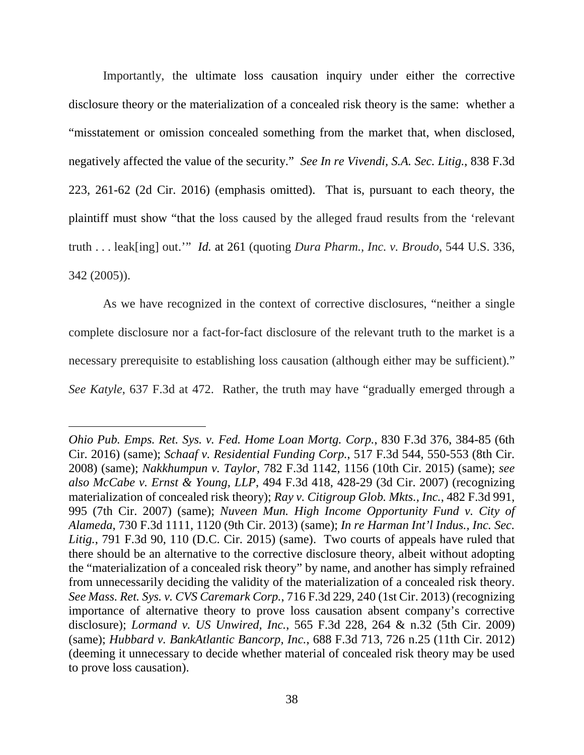Importantly, the ultimate loss causation inquiry under either the corrective disclosure theory or the materialization of a concealed risk theory is the same: whether a "misstatement or omission concealed something from the market that, when disclosed, negatively affected the value of the security." *See In re Vivendi, S.A. Sec. Litig.*, 838 F.3d 223, 261-62 (2d Cir. 2016) (emphasis omitted). That is, pursuant to each theory, the plaintiff must show "that the loss caused by the alleged fraud results from the 'relevant truth . . . leak[ing] out.'" *Id.* at 261 (quoting *Dura Pharm., Inc. v. Broudo*, 544 U.S. 336, 342 (2005)).

As we have recognized in the context of corrective disclosures, "neither a single complete disclosure nor a fact-for-fact disclosure of the relevant truth to the market is a necessary prerequisite to establishing loss causation (although either may be sufficient)." *See Katyle*, 637 F.3d at 472. Rather, the truth may have "gradually emerged through a

 $\overline{a}$ 

*Ohio Pub. Emps. Ret. Sys. v. Fed. Home Loan Mortg. Corp.*, 830 F.3d 376, 384-85 (6th Cir. 2016) (same); *Schaaf v. Residential Funding Corp.*, 517 F.3d 544, 550-553 (8th Cir. 2008) (same); *Nakkhumpun v. Taylor*, 782 F.3d 1142, 1156 (10th Cir. 2015) (same); *see also McCabe v. Ernst & Young, LLP*, 494 F.3d 418, 428-29 (3d Cir. 2007) (recognizing materialization of concealed risk theory); *Ray v. Citigroup Glob. Mkts., Inc.*, 482 F.3d 991, 995 (7th Cir. 2007) (same); *Nuveen Mun. High Income Opportunity Fund v. City of Alameda*, 730 F.3d 1111, 1120 (9th Cir. 2013) (same); *In re Harman Int'l Indus., Inc. Sec. Litig.*, 791 F.3d 90, 110 (D.C. Cir. 2015) (same). Two courts of appeals have ruled that there should be an alternative to the corrective disclosure theory, albeit without adopting the "materialization of a concealed risk theory" by name, and another has simply refrained from unnecessarily deciding the validity of the materialization of a concealed risk theory. *See Mass. Ret. Sys. v. CVS Caremark Corp.*, 716 F.3d 229, 240 (1st Cir. 2013) (recognizing importance of alternative theory to prove loss causation absent company's corrective disclosure); *Lormand v. US Unwired, Inc.*, 565 F.3d 228, 264 & n.32 (5th Cir. 2009) (same); *Hubbard v. BankAtlantic Bancorp, Inc.*, 688 F.3d 713, 726 n.25 (11th Cir. 2012) (deeming it unnecessary to decide whether material of concealed risk theory may be used to prove loss causation).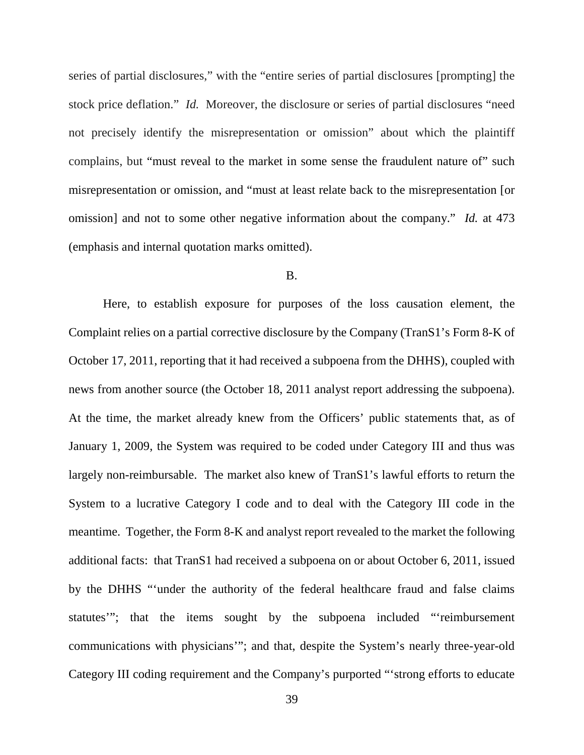series of partial disclosures," with the "entire series of partial disclosures [prompting] the stock price deflation." *Id.* Moreover, the disclosure or series of partial disclosures "need not precisely identify the misrepresentation or omission" about which the plaintiff complains, but "must reveal to the market in some sense the fraudulent nature of" such misrepresentation or omission, and "must at least relate back to the misrepresentation [or omission] and not to some other negative information about the company." *Id.* at 473 (emphasis and internal quotation marks omitted).

### B.

Here, to establish exposure for purposes of the loss causation element, the Complaint relies on a partial corrective disclosure by the Company (TranS1's Form 8-K of October 17, 2011, reporting that it had received a subpoena from the DHHS), coupled with news from another source (the October 18, 2011 analyst report addressing the subpoena). At the time, the market already knew from the Officers' public statements that, as of January 1, 2009, the System was required to be coded under Category III and thus was largely non-reimbursable. The market also knew of TranS1's lawful efforts to return the System to a lucrative Category I code and to deal with the Category III code in the meantime. Together, the Form 8-K and analyst report revealed to the market the following additional facts: that TranS1 had received a subpoena on or about October 6, 2011, issued by the DHHS "'under the authority of the federal healthcare fraud and false claims statutes'"; that the items sought by the subpoena included "'reimbursement communications with physicians'"; and that, despite the System's nearly three-year-old Category III coding requirement and the Company's purported "'strong efforts to educate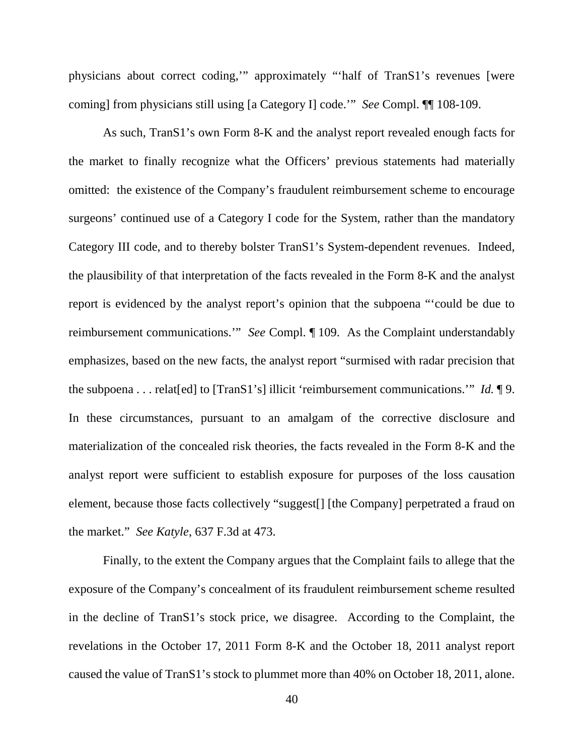physicians about correct coding,'" approximately "'half of TranS1's revenues [were coming] from physicians still using [a Category I] code.'" *See* Compl. ¶¶ 108-109.

As such, TranS1's own Form 8-K and the analyst report revealed enough facts for the market to finally recognize what the Officers' previous statements had materially omitted: the existence of the Company's fraudulent reimbursement scheme to encourage surgeons' continued use of a Category I code for the System, rather than the mandatory Category III code, and to thereby bolster TranS1's System-dependent revenues. Indeed, the plausibility of that interpretation of the facts revealed in the Form 8-K and the analyst report is evidenced by the analyst report's opinion that the subpoena "'could be due to reimbursement communications.'" *See* Compl. ¶ 109. As the Complaint understandably emphasizes, based on the new facts, the analyst report "surmised with radar precision that the subpoena . . . relat[ed] to [TranS1's] illicit 'reimbursement communications.'" *Id.* ¶ 9. In these circumstances, pursuant to an amalgam of the corrective disclosure and materialization of the concealed risk theories, the facts revealed in the Form 8-K and the analyst report were sufficient to establish exposure for purposes of the loss causation element, because those facts collectively "suggest[] [the Company] perpetrated a fraud on the market." *See Katyle*, 637 F.3d at 473.

Finally, to the extent the Company argues that the Complaint fails to allege that the exposure of the Company's concealment of its fraudulent reimbursement scheme resulted in the decline of TranS1's stock price, we disagree. According to the Complaint, the revelations in the October 17, 2011 Form 8-K and the October 18, 2011 analyst report caused the value of TranS1's stock to plummet more than 40% on October 18, 2011, alone.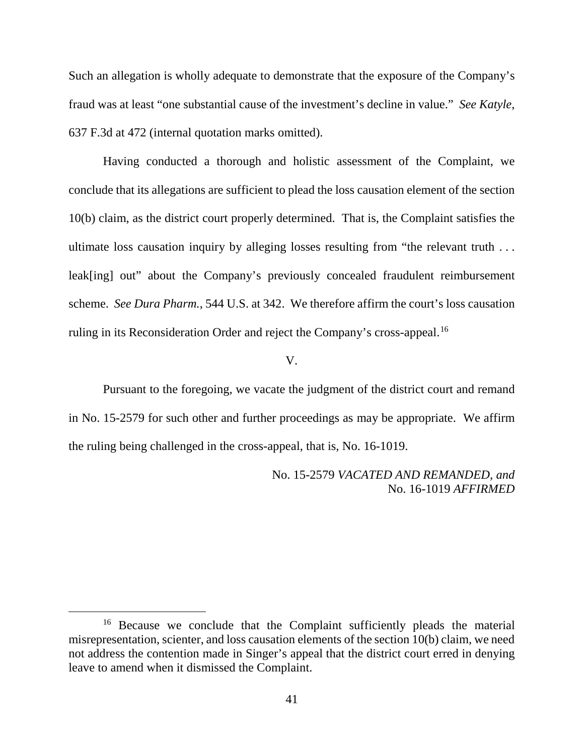Such an allegation is wholly adequate to demonstrate that the exposure of the Company's fraud was at least "one substantial cause of the investment's decline in value." *See Katyle*, 637 F.3d at 472 (internal quotation marks omitted).

Having conducted a thorough and holistic assessment of the Complaint, we conclude that its allegations are sufficient to plead the loss causation element of the section 10(b) claim, as the district court properly determined. That is, the Complaint satisfies the ultimate loss causation inquiry by alleging losses resulting from "the relevant truth . . . leak[ing] out" about the Company's previously concealed fraudulent reimbursement scheme. *See Dura Pharm.*, 544 U.S. at 342. We therefore affirm the court's loss causation ruling in its Reconsideration Order and reject the Company's cross-appeal.<sup>[16](#page-40-0)</sup>

#### V.

Pursuant to the foregoing, we vacate the judgment of the district court and remand in No. 15-2579 for such other and further proceedings as may be appropriate. We affirm the ruling being challenged in the cross-appeal, that is, No. 16-1019.

> No. 15-2579 *VACATED AND REMANDED, and* No. 16-1019 *AFFIRMED*

<span id="page-40-0"></span><sup>&</sup>lt;sup>16</sup> Because we conclude that the Complaint sufficiently pleads the material misrepresentation, scienter, and loss causation elements of the section 10(b) claim, we need not address the contention made in Singer's appeal that the district court erred in denying leave to amend when it dismissed the Complaint.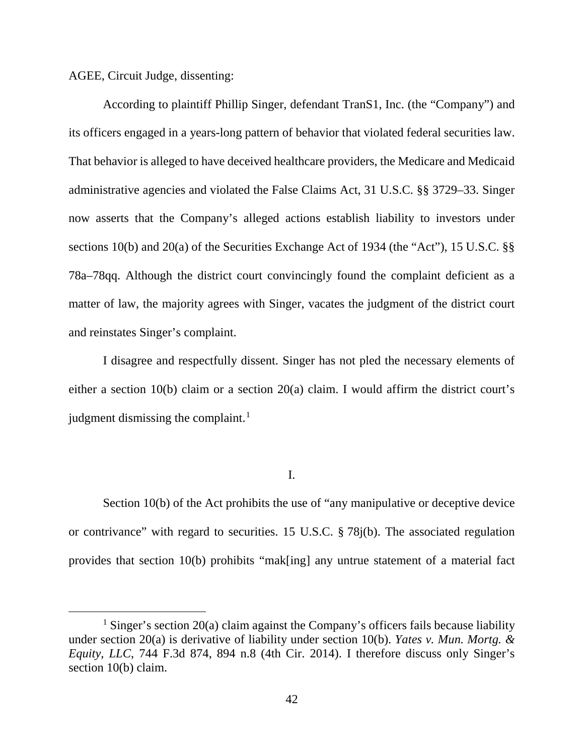AGEE, Circuit Judge, dissenting:

According to plaintiff Phillip Singer, defendant TranS1, Inc. (the "Company") and its officers engaged in a years-long pattern of behavior that violated federal securities law. That behavior is alleged to have deceived healthcare providers, the Medicare and Medicaid administrative agencies and violated the False Claims Act, 31 U.S.C. §§ 3729–33. Singer now asserts that the Company's alleged actions establish liability to investors under sections 10(b) and 20(a) of the Securities Exchange Act of 1934 (the "Act"), 15 U.S.C. §§ 78a–78qq. Although the district court convincingly found the complaint deficient as a matter of law, the majority agrees with Singer, vacates the judgment of the district court and reinstates Singer's complaint.

I disagree and respectfully dissent. Singer has not pled the necessary elements of either a section 10(b) claim or a section 20(a) claim. I would affirm the district court's judgment dismissing the complaint.<sup>[1](#page-41-0)</sup>

I.

Section 10(b) of the Act prohibits the use of "any manipulative or deceptive device or contrivance" with regard to securities. 15 U.S.C. § 78j(b). The associated regulation provides that section 10(b) prohibits "mak[ing] any untrue statement of a material fact

<span id="page-41-0"></span><sup>&</sup>lt;sup>1</sup> Singer's section 20(a) claim against the Company's officers fails because liability under section 20(a) is derivative of liability under section 10(b). *Yates v. Mun. Mortg. & Equity, LLC*, 744 F.3d 874, 894 n.8 (4th Cir. 2014). I therefore discuss only Singer's section 10(b) claim.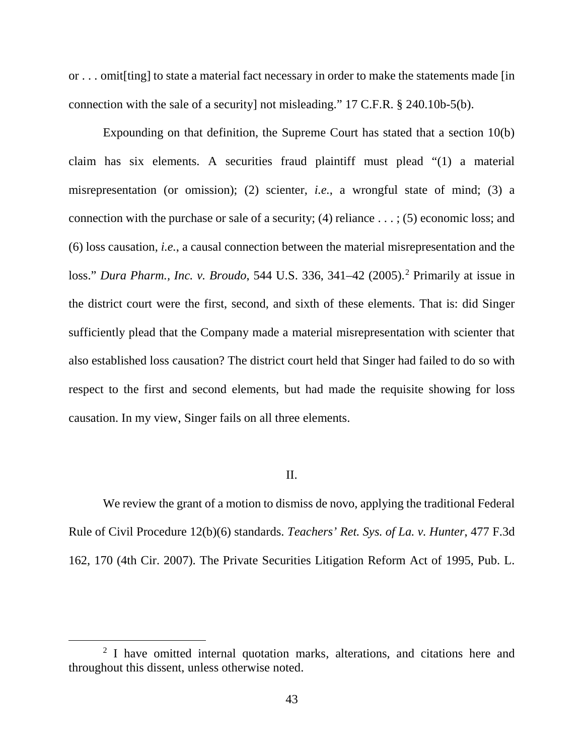or . . . omit[ting] to state a material fact necessary in order to make the statements made [in connection with the sale of a security] not misleading." 17 C.F.R. § 240.10b-5(b).

Expounding on that definition, the Supreme Court has stated that a section 10(b) claim has six elements. A securities fraud plaintiff must plead "(1) a material misrepresentation (or omission); (2) scienter, *i.e.*, a wrongful state of mind; (3) a connection with the purchase or sale of a security; (4) reliance  $\dots$ ; (5) economic loss; and (6) loss causation, *i.e.*, a causal connection between the material misrepresentation and the loss." *Dura Pharm., Inc. v. Broudo*, 544 U.S. 336, 341–42 (2005).[2](#page-42-0) Primarily at issue in the district court were the first, second, and sixth of these elements. That is: did Singer sufficiently plead that the Company made a material misrepresentation with scienter that also established loss causation? The district court held that Singer had failed to do so with respect to the first and second elements, but had made the requisite showing for loss causation. In my view, Singer fails on all three elements.

### II.

We review the grant of a motion to dismiss de novo, applying the traditional Federal Rule of Civil Procedure 12(b)(6) standards. *Teachers' Ret. Sys. of La. v. Hunter*, 477 F.3d 162, 170 (4th Cir. 2007). The Private Securities Litigation Reform Act of 1995, Pub. L.

<span id="page-42-0"></span><sup>&</sup>lt;sup>2</sup> I have omitted internal quotation marks, alterations, and citations here and throughout this dissent, unless otherwise noted.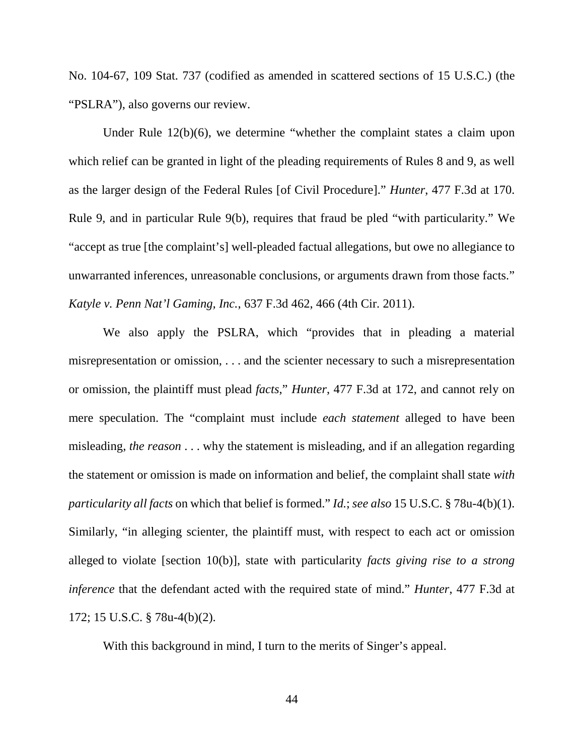No. 104-67, 109 Stat. 737 (codified as amended in scattered sections of 15 U.S.C.) (the "PSLRA"), also governs our review.

Under Rule 12(b)(6), we determine "whether the complaint states a claim upon which relief can be granted in light of the pleading requirements of Rules 8 and 9, as well as the larger design of the Federal Rules [of Civil Procedure]." *Hunter*, 477 F.3d at 170. Rule 9, and in particular Rule 9(b), requires that fraud be pled "with particularity." We "accept as true [the complaint's] well-pleaded factual allegations, but owe no allegiance to unwarranted inferences, unreasonable conclusions, or arguments drawn from those facts." *Katyle v. Penn Nat'l Gaming, Inc.*, 637 F.3d 462, 466 (4th Cir. 2011).

We also apply the PSLRA, which "provides that in pleading a material misrepresentation or omission, . . . and the scienter necessary to such a misrepresentation or omission, the plaintiff must plead *facts*," *Hunter*, 477 F.3d at 172, and cannot rely on mere speculation. The "complaint must include *each statement* alleged to have been misleading, *the reason* . . . why the statement is misleading, and if an allegation regarding the statement or omission is made on information and belief, the complaint shall state *with particularity all facts* on which that belief is formed." *Id.*; *see also* 15 U.S.C. § 78u-4(b)(1). Similarly, "in alleging scienter, the plaintiff must, with respect to each act or omission alleged to violate [section 10(b)], state with particularity *facts giving rise to a strong inference* that the defendant acted with the required state of mind." *Hunter*, 477 F.3d at 172; 15 U.S.C. § 78u-4(b)(2).

With this background in mind, I turn to the merits of Singer's appeal.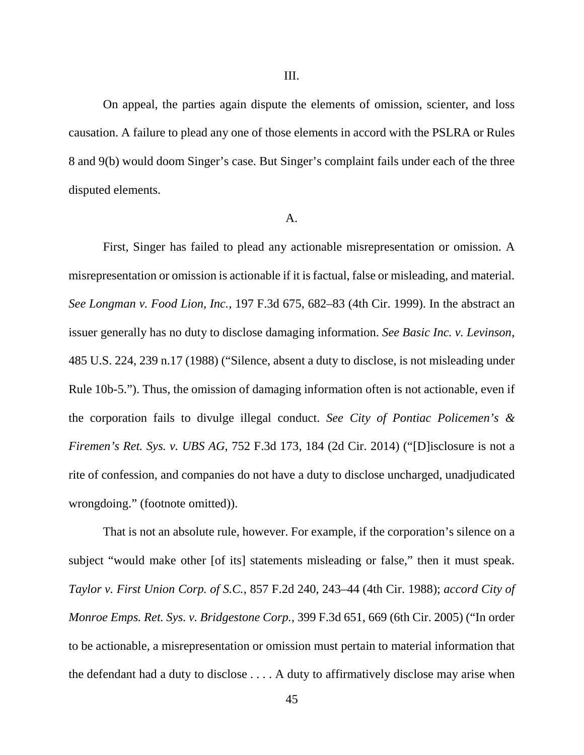On appeal, the parties again dispute the elements of omission, scienter, and loss causation. A failure to plead any one of those elements in accord with the PSLRA or Rules 8 and 9(b) would doom Singer's case. But Singer's complaint fails under each of the three disputed elements.

#### A.

First, Singer has failed to plead any actionable misrepresentation or omission. A misrepresentation or omission is actionable if it is factual, false or misleading, and material. *See Longman v. Food Lion, Inc.*, 197 F.3d 675, 682–83 (4th Cir. 1999). In the abstract an issuer generally has no duty to disclose damaging information. *See Basic Inc. v. Levinson*, 485 U.S. 224, 239 n.17 (1988) ("Silence, absent a duty to disclose, is not misleading under Rule 10b-5."). Thus, the omission of damaging information often is not actionable, even if the corporation fails to divulge illegal conduct. *See City of Pontiac Policemen's & Firemen's Ret. Sys. v. UBS AG*, 752 F.3d 173, 184 (2d Cir. 2014) ("[D]isclosure is not a rite of confession, and companies do not have a duty to disclose uncharged, unadjudicated wrongdoing." (footnote omitted)).

That is not an absolute rule, however. For example, if the corporation's silence on a subject "would make other [of its] statements misleading or false," then it must speak. *Taylor v. First Union Corp. of S.C.*, 857 F.2d 240, 243–44 (4th Cir. 1988); *accord City of Monroe Emps. Ret. Sys. v. Bridgestone Corp.*, 399 F.3d 651, 669 (6th Cir. 2005) ("In order to be actionable, a misrepresentation or omission must pertain to material information that the defendant had a duty to disclose . . . . A duty to affirmatively disclose may arise when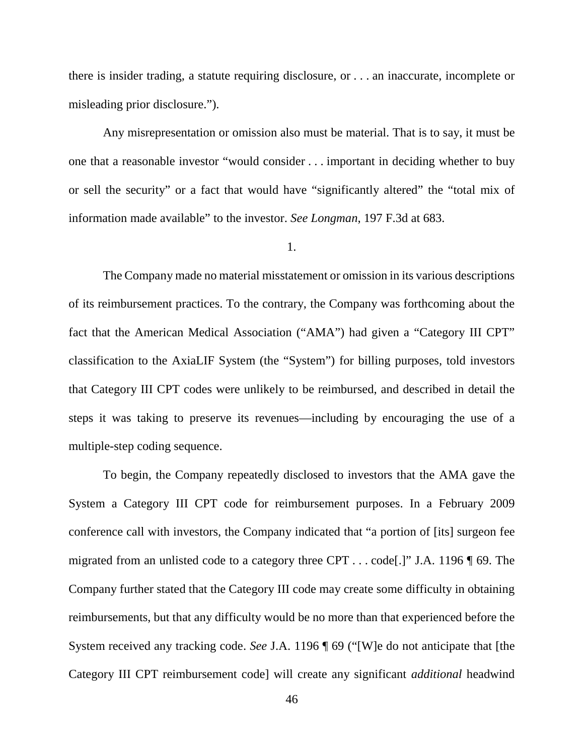there is insider trading, a statute requiring disclosure, or . . . an inaccurate, incomplete or misleading prior disclosure.").

Any misrepresentation or omission also must be material. That is to say, it must be one that a reasonable investor "would consider . . . important in deciding whether to buy or sell the security" or a fact that would have "significantly altered" the "total mix of information made available" to the investor. *See Longman*, 197 F.3d at 683.

1.

The Company made no material misstatement or omission in its various descriptions of its reimbursement practices. To the contrary, the Company was forthcoming about the fact that the American Medical Association ("AMA") had given a "Category III CPT" classification to the AxiaLIF System (the "System") for billing purposes, told investors that Category III CPT codes were unlikely to be reimbursed, and described in detail the steps it was taking to preserve its revenues—including by encouraging the use of a multiple-step coding sequence.

To begin, the Company repeatedly disclosed to investors that the AMA gave the System a Category III CPT code for reimbursement purposes. In a February 2009 conference call with investors, the Company indicated that "a portion of [its] surgeon fee migrated from an unlisted code to a category three CPT . . . code[.]" J.A. 1196 ¶ 69. The Company further stated that the Category III code may create some difficulty in obtaining reimbursements, but that any difficulty would be no more than that experienced before the System received any tracking code. *See* J.A. 1196 ¶ 69 ("[W]e do not anticipate that [the Category III CPT reimbursement code] will create any significant *additional* headwind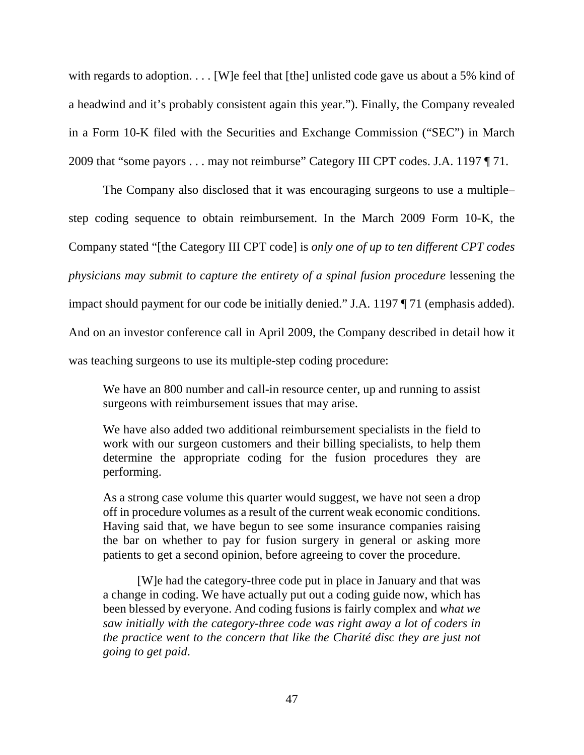with regards to adoption. . . . [W]e feel that [the] unlisted code gave us about a 5% kind of a headwind and it's probably consistent again this year."). Finally, the Company revealed in a Form 10-K filed with the Securities and Exchange Commission ("SEC") in March 2009 that "some payors . . . may not reimburse" Category III CPT codes. J.A. 1197 ¶ 71.

The Company also disclosed that it was encouraging surgeons to use a multiple– step coding sequence to obtain reimbursement. In the March 2009 Form 10-K, the Company stated "[the Category III CPT code] is *only one of up to ten different CPT codes physicians may submit to capture the entirety of a spinal fusion procedure* lessening the impact should payment for our code be initially denied." J.A. 1197 ¶ 71 (emphasis added). And on an investor conference call in April 2009, the Company described in detail how it was teaching surgeons to use its multiple-step coding procedure:

We have an 800 number and call-in resource center, up and running to assist surgeons with reimbursement issues that may arise.

We have also added two additional reimbursement specialists in the field to work with our surgeon customers and their billing specialists, to help them determine the appropriate coding for the fusion procedures they are performing.

As a strong case volume this quarter would suggest, we have not seen a drop off in procedure volumes as a result of the current weak economic conditions. Having said that, we have begun to see some insurance companies raising the bar on whether to pay for fusion surgery in general or asking more patients to get a second opinion, before agreeing to cover the procedure.

[W]e had the category-three code put in place in January and that was a change in coding. We have actually put out a coding guide now, which has been blessed by everyone. And coding fusions is fairly complex and *what we saw initially with the category-three code was right away a lot of coders in the practice went to the concern that like the Charité disc they are just not going to get paid*.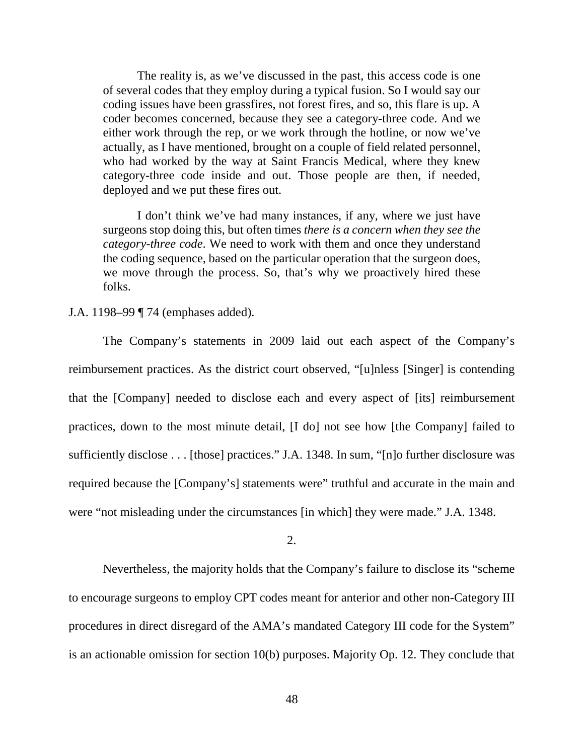The reality is, as we've discussed in the past, this access code is one of several codes that they employ during a typical fusion. So I would say our coding issues have been grassfires, not forest fires, and so, this flare is up. A coder becomes concerned, because they see a category-three code. And we either work through the rep, or we work through the hotline, or now we've actually, as I have mentioned, brought on a couple of field related personnel, who had worked by the way at Saint Francis Medical, where they knew category-three code inside and out. Those people are then, if needed, deployed and we put these fires out.

I don't think we've had many instances, if any, where we just have surgeons stop doing this, but often times *there is a concern when they see the category-three code*. We need to work with them and once they understand the coding sequence, based on the particular operation that the surgeon does, we move through the process. So, that's why we proactively hired these folks.

# J.A. 1198–99 ¶ 74 (emphases added).

The Company's statements in 2009 laid out each aspect of the Company's reimbursement practices. As the district court observed, "[u]nless [Singer] is contending that the [Company] needed to disclose each and every aspect of [its] reimbursement practices, down to the most minute detail, [I do] not see how [the Company] failed to sufficiently disclose . . . [those] practices." J.A. 1348. In sum, "[n]o further disclosure was required because the [Company's] statements were" truthful and accurate in the main and were "not misleading under the circumstances [in which] they were made." J.A. 1348.

# 2.

Nevertheless, the majority holds that the Company's failure to disclose its "scheme to encourage surgeons to employ CPT codes meant for anterior and other non-Category III procedures in direct disregard of the AMA's mandated Category III code for the System" is an actionable omission for section 10(b) purposes. Majority Op. 12. They conclude that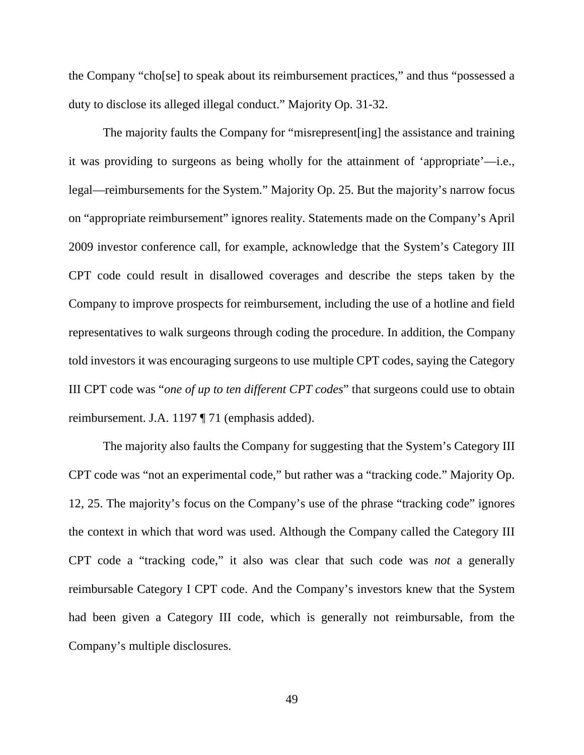the Company "cho[se] to speak about its reimbursement practices," and thus "possessed a duty to disclose its alleged illegal conduct." Majority Op. 31-32.

The majority faults the Company for "misrepresent[ing] the assistance and training it was providing to surgeons as being wholly for the attainment of 'appropriate'—i.e., legal—reimbursements for the System." Majority Op. 25. But the majority's narrow focus on "appropriate reimbursement" ignores reality. Statements made on the Company's April 2009 investor conference call, for example, acknowledge that the System's Category III CPT code could result in disallowed coverages and describe the steps taken by the Company to improve prospects for reimbursement, including the use of a hotline and field representatives to walk surgeons through coding the procedure. In addition, the Company told investors it was encouraging surgeons to use multiple CPT codes, saying the Category III CPT code was "*one of up to ten different CPT codes*" that surgeons could use to obtain reimbursement. J.A. 1197 ¶ 71 (emphasis added).

The majority also faults the Company for suggesting that the System's Category III CPT code was "not an experimental code," but rather was a "tracking code." Majority Op. 12, 25. The majority's focus on the Company's use of the phrase "tracking code" ignores the context in which that word was used. Although the Company called the Category III CPT code a "tracking code," it also was clear that such code was *not* a generally reimbursable Category I CPT code. And the Company's investors knew that the System had been given a Category III code, which is generally not reimbursable, from the Company's multiple disclosures.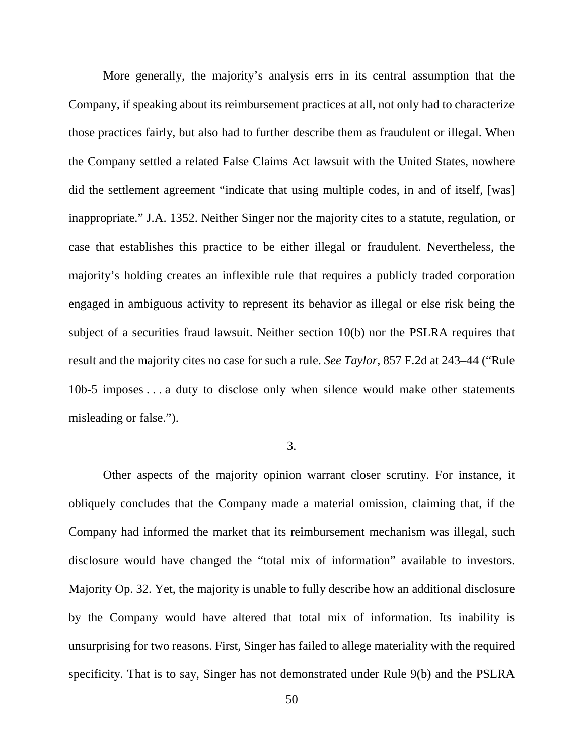More generally, the majority's analysis errs in its central assumption that the Company, if speaking about its reimbursement practices at all, not only had to characterize those practices fairly, but also had to further describe them as fraudulent or illegal. When the Company settled a related False Claims Act lawsuit with the United States, nowhere did the settlement agreement "indicate that using multiple codes, in and of itself, [was] inappropriate." J.A. 1352. Neither Singer nor the majority cites to a statute, regulation, or case that establishes this practice to be either illegal or fraudulent. Nevertheless, the majority's holding creates an inflexible rule that requires a publicly traded corporation engaged in ambiguous activity to represent its behavior as illegal or else risk being the subject of a securities fraud lawsuit. Neither section 10(b) nor the PSLRA requires that result and the majority cites no case for such a rule. *See Taylor*, 857 F.2d at 243–44 ("Rule 10b-5 imposes . . . a duty to disclose only when silence would make other statements misleading or false.").

#### 3.

Other aspects of the majority opinion warrant closer scrutiny. For instance, it obliquely concludes that the Company made a material omission, claiming that, if the Company had informed the market that its reimbursement mechanism was illegal, such disclosure would have changed the "total mix of information" available to investors. Majority Op. 32. Yet, the majority is unable to fully describe how an additional disclosure by the Company would have altered that total mix of information. Its inability is unsurprising for two reasons. First, Singer has failed to allege materiality with the required specificity. That is to say, Singer has not demonstrated under Rule 9(b) and the PSLRA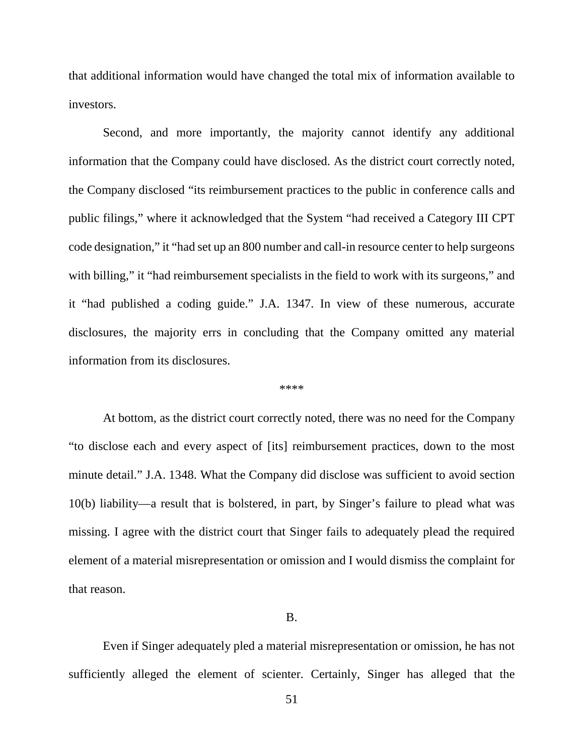that additional information would have changed the total mix of information available to investors.

Second, and more importantly, the majority cannot identify any additional information that the Company could have disclosed. As the district court correctly noted, the Company disclosed "its reimbursement practices to the public in conference calls and public filings," where it acknowledged that the System "had received a Category III CPT code designation," it "had set up an 800 number and call-in resource center to help surgeons with billing," it "had reimbursement specialists in the field to work with its surgeons," and it "had published a coding guide." J.A. 1347. In view of these numerous, accurate disclosures, the majority errs in concluding that the Company omitted any material information from its disclosures.

\*\*\*\*

At bottom, as the district court correctly noted, there was no need for the Company "to disclose each and every aspect of [its] reimbursement practices, down to the most minute detail." J.A. 1348. What the Company did disclose was sufficient to avoid section 10(b) liability—a result that is bolstered, in part, by Singer's failure to plead what was missing. I agree with the district court that Singer fails to adequately plead the required element of a material misrepresentation or omission and I would dismiss the complaint for that reason.

#### B.

Even if Singer adequately pled a material misrepresentation or omission, he has not sufficiently alleged the element of scienter. Certainly, Singer has alleged that the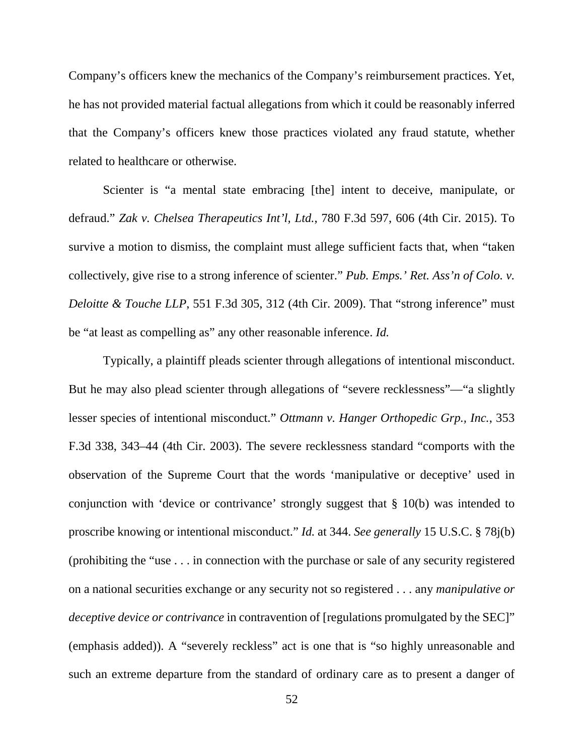Company's officers knew the mechanics of the Company's reimbursement practices. Yet, he has not provided material factual allegations from which it could be reasonably inferred that the Company's officers knew those practices violated any fraud statute, whether related to healthcare or otherwise.

Scienter is "a mental state embracing [the] intent to deceive, manipulate, or defraud." *Zak v. Chelsea Therapeutics Int'l, Ltd.*, 780 F.3d 597, 606 (4th Cir. 2015). To survive a motion to dismiss, the complaint must allege sufficient facts that, when "taken collectively, give rise to a strong inference of scienter." *Pub. Emps.' Ret. Ass'n of Colo. v. Deloitte & Touche LLP*, 551 F.3d 305, 312 (4th Cir. 2009). That "strong inference" must be "at least as compelling as" any other reasonable inference. *Id.*

Typically, a plaintiff pleads scienter through allegations of intentional misconduct. But he may also plead scienter through allegations of "severe recklessness"—"a slightly lesser species of intentional misconduct." *Ottmann v. Hanger Orthopedic Grp., Inc.*, 353 F.3d 338, 343–44 (4th Cir. 2003). The severe recklessness standard "comports with the observation of the Supreme Court that the words 'manipulative or deceptive' used in conjunction with 'device or contrivance' strongly suggest that § 10(b) was intended to proscribe knowing or intentional misconduct." *Id.* at 344. *See generally* 15 U.S.C. § 78j(b) (prohibiting the "use . . . in connection with the purchase or sale of any security registered on a national securities exchange or any security not so registered . . . any *manipulative or deceptive device or contrivance* in contravention of [regulations promulgated by the SEC]" (emphasis added)). A "severely reckless" act is one that is "so highly unreasonable and such an extreme departure from the standard of ordinary care as to present a danger of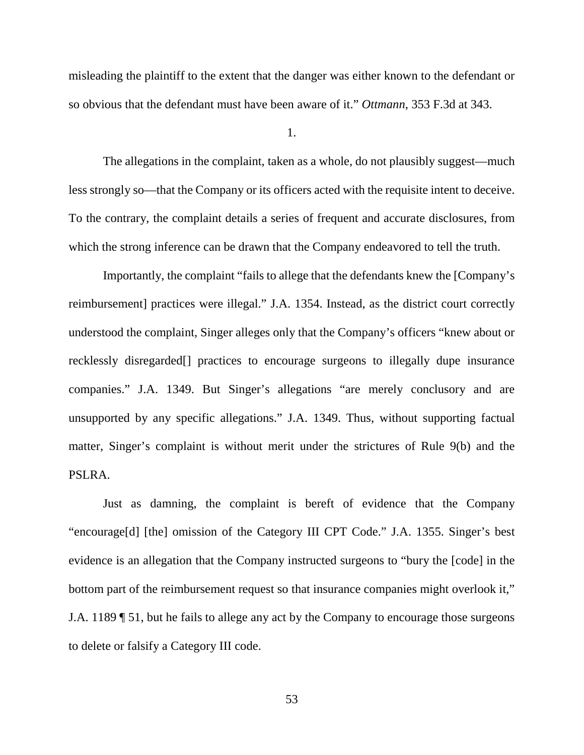misleading the plaintiff to the extent that the danger was either known to the defendant or so obvious that the defendant must have been aware of it." *Ottmann*, 353 F.3d at 343.

1.

The allegations in the complaint, taken as a whole, do not plausibly suggest—much less strongly so—that the Company or its officers acted with the requisite intent to deceive. To the contrary, the complaint details a series of frequent and accurate disclosures, from which the strong inference can be drawn that the Company endeavored to tell the truth.

Importantly, the complaint "fails to allege that the defendants knew the [Company's reimbursement] practices were illegal." J.A. 1354. Instead, as the district court correctly understood the complaint, Singer alleges only that the Company's officers "knew about or recklessly disregarded[] practices to encourage surgeons to illegally dupe insurance companies." J.A. 1349. But Singer's allegations "are merely conclusory and are unsupported by any specific allegations." J.A. 1349. Thus, without supporting factual matter, Singer's complaint is without merit under the strictures of Rule 9(b) and the PSLRA.

Just as damning, the complaint is bereft of evidence that the Company "encourage[d] [the] omission of the Category III CPT Code." J.A. 1355. Singer's best evidence is an allegation that the Company instructed surgeons to "bury the [code] in the bottom part of the reimbursement request so that insurance companies might overlook it," J.A. 1189 ¶ 51, but he fails to allege any act by the Company to encourage those surgeons to delete or falsify a Category III code.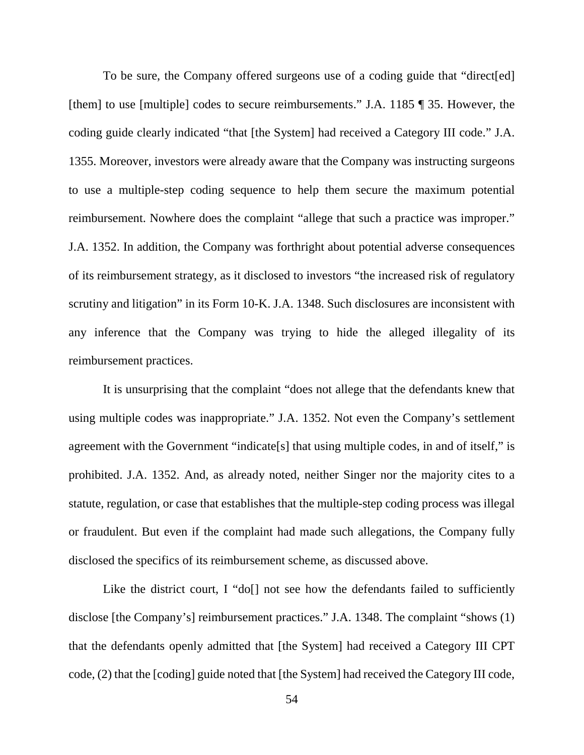To be sure, the Company offered surgeons use of a coding guide that "direct[ed] [them] to use [multiple] codes to secure reimbursements." J.A. 1185 ¶ 35. However, the coding guide clearly indicated "that [the System] had received a Category III code." J.A. 1355. Moreover, investors were already aware that the Company was instructing surgeons to use a multiple-step coding sequence to help them secure the maximum potential reimbursement. Nowhere does the complaint "allege that such a practice was improper." J.A. 1352. In addition, the Company was forthright about potential adverse consequences of its reimbursement strategy, as it disclosed to investors "the increased risk of regulatory scrutiny and litigation" in its Form 10-K. J.A. 1348. Such disclosures are inconsistent with any inference that the Company was trying to hide the alleged illegality of its reimbursement practices.

It is unsurprising that the complaint "does not allege that the defendants knew that using multiple codes was inappropriate." J.A. 1352. Not even the Company's settlement agreement with the Government "indicate[s] that using multiple codes, in and of itself," is prohibited. J.A. 1352. And, as already noted, neither Singer nor the majority cites to a statute, regulation, or case that establishes that the multiple-step coding process was illegal or fraudulent. But even if the complaint had made such allegations, the Company fully disclosed the specifics of its reimbursement scheme, as discussed above.

Like the district court, I "do[] not see how the defendants failed to sufficiently disclose [the Company's] reimbursement practices." J.A. 1348. The complaint "shows (1) that the defendants openly admitted that [the System] had received a Category III CPT code, (2) that the [coding] guide noted that [the System] had received the Category III code,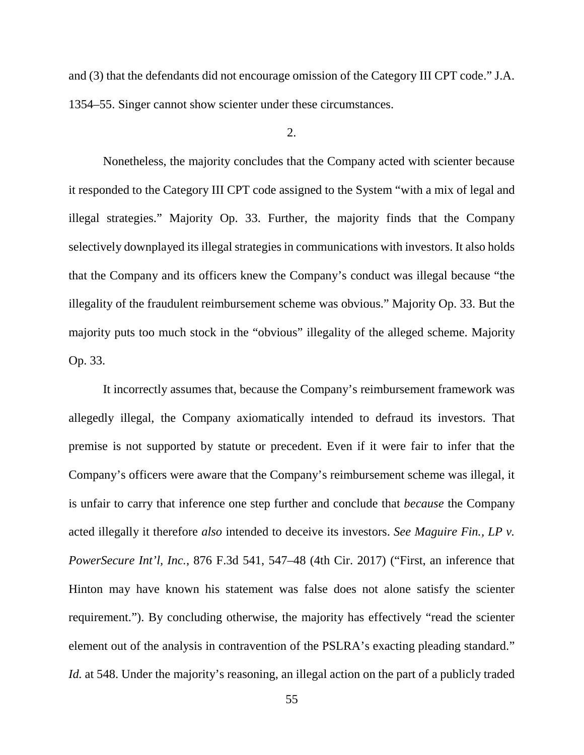and (3) that the defendants did not encourage omission of the Category III CPT code." J.A. 1354–55. Singer cannot show scienter under these circumstances.

### $2<sub>1</sub>$

Nonetheless, the majority concludes that the Company acted with scienter because it responded to the Category III CPT code assigned to the System "with a mix of legal and illegal strategies." Majority Op. 33. Further, the majority finds that the Company selectively downplayed its illegal strategies in communications with investors. It also holds that the Company and its officers knew the Company's conduct was illegal because "the illegality of the fraudulent reimbursement scheme was obvious." Majority Op. 33. But the majority puts too much stock in the "obvious" illegality of the alleged scheme. Majority Op. 33.

It incorrectly assumes that, because the Company's reimbursement framework was allegedly illegal, the Company axiomatically intended to defraud its investors. That premise is not supported by statute or precedent. Even if it were fair to infer that the Company's officers were aware that the Company's reimbursement scheme was illegal, it is unfair to carry that inference one step further and conclude that *because* the Company acted illegally it therefore *also* intended to deceive its investors. *See Maguire Fin., LP v. PowerSecure Int'l, Inc.*, 876 F.3d 541, 547–48 (4th Cir. 2017) ("First, an inference that Hinton may have known his statement was false does not alone satisfy the scienter requirement."). By concluding otherwise, the majority has effectively "read the scienter element out of the analysis in contravention of the PSLRA's exacting pleading standard." *Id.* at 548. Under the majority's reasoning, an illegal action on the part of a publicly traded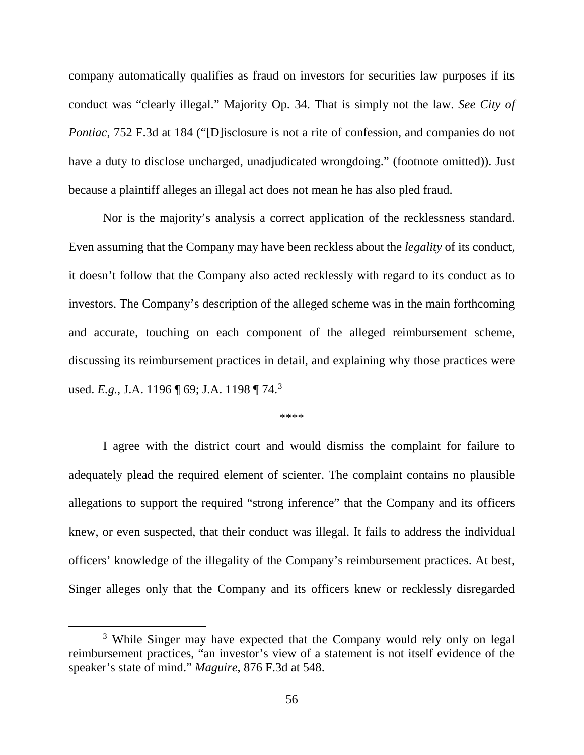company automatically qualifies as fraud on investors for securities law purposes if its conduct was "clearly illegal." Majority Op. 34. That is simply not the law. *See City of Pontiac*, 752 F.3d at 184 ("[D]isclosure is not a rite of confession, and companies do not have a duty to disclose uncharged, unadjudicated wrongdoing." (footnote omitted)). Just because a plaintiff alleges an illegal act does not mean he has also pled fraud.

Nor is the majority's analysis a correct application of the recklessness standard. Even assuming that the Company may have been reckless about the *legality* of its conduct, it doesn't follow that the Company also acted recklessly with regard to its conduct as to investors. The Company's description of the alleged scheme was in the main forthcoming and accurate, touching on each component of the alleged reimbursement scheme, discussing its reimbursement practices in detail, and explaining why those practices were used. *E.g.*, J.A. 1196 ¶ 69; J.A. 1198 ¶ 74.[3](#page-55-0)

\*\*\*\*

I agree with the district court and would dismiss the complaint for failure to adequately plead the required element of scienter. The complaint contains no plausible allegations to support the required "strong inference" that the Company and its officers knew, or even suspected, that their conduct was illegal. It fails to address the individual officers' knowledge of the illegality of the Company's reimbursement practices. At best, Singer alleges only that the Company and its officers knew or recklessly disregarded

<span id="page-55-0"></span><sup>&</sup>lt;sup>3</sup> While Singer may have expected that the Company would rely only on legal reimbursement practices, "an investor's view of a statement is not itself evidence of the speaker's state of mind." *Maguire*, 876 F.3d at 548.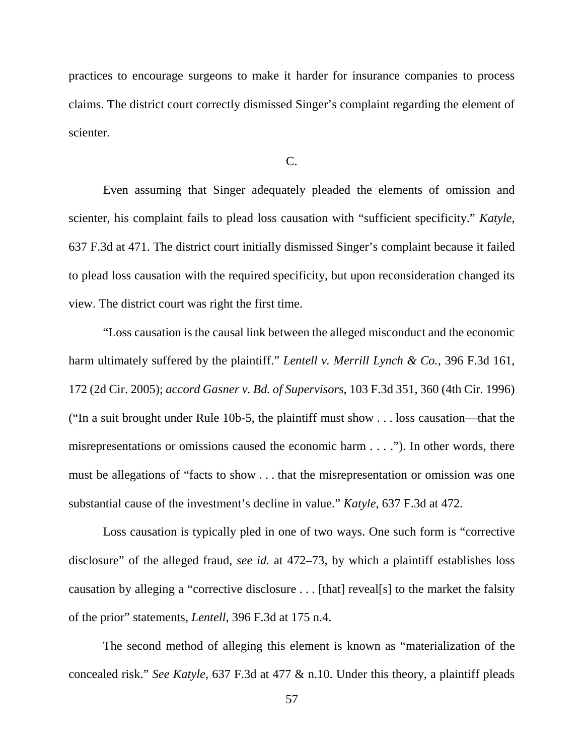practices to encourage surgeons to make it harder for insurance companies to process claims. The district court correctly dismissed Singer's complaint regarding the element of scienter.

#### C.

Even assuming that Singer adequately pleaded the elements of omission and scienter, his complaint fails to plead loss causation with "sufficient specificity." *Katyle*, 637 F.3d at 471. The district court initially dismissed Singer's complaint because it failed to plead loss causation with the required specificity, but upon reconsideration changed its view. The district court was right the first time.

"Loss causation is the causal link between the alleged misconduct and the economic harm ultimately suffered by the plaintiff." *Lentell v. Merrill Lynch & Co.*, 396 F.3d 161, 172 (2d Cir. 2005); *accord Gasner v. Bd. of Supervisors*, 103 F.3d 351, 360 (4th Cir. 1996) ("In a suit brought under Rule 10b-5, the plaintiff must show . . . loss causation—that the misrepresentations or omissions caused the economic harm . . . ."). In other words, there must be allegations of "facts to show . . . that the misrepresentation or omission was one substantial cause of the investment's decline in value." *Katyle*, 637 F.3d at 472.

Loss causation is typically pled in one of two ways. One such form is "corrective disclosure" of the alleged fraud, *see id.* at 472–73, by which a plaintiff establishes loss causation by alleging a "corrective disclosure . . . [that] reveal[s] to the market the falsity of the prior" statements, *Lentell*, 396 F.3d at 175 n.4.

The second method of alleging this element is known as "materialization of the concealed risk." *See Katyle*, 637 F.3d at 477 & n.10. Under this theory, a plaintiff pleads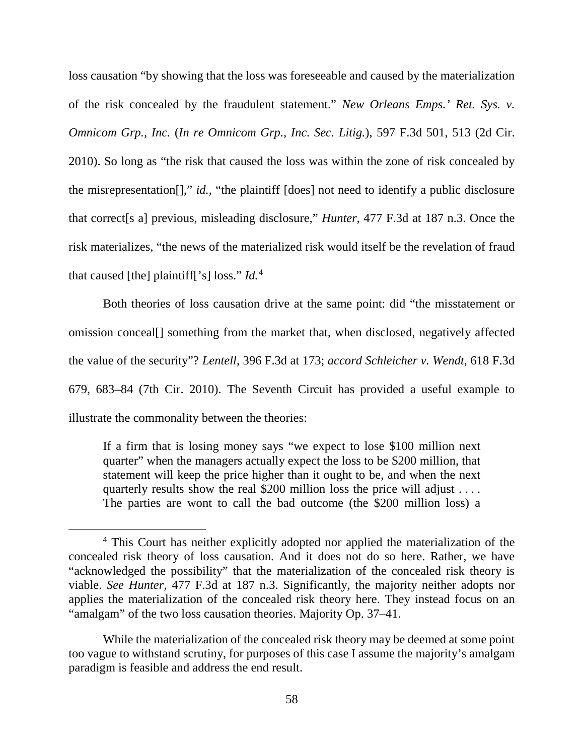loss causation "by showing that the loss was foreseeable and caused by the materialization of the risk concealed by the fraudulent statement." *New Orleans Emps.' Ret. Sys. v. Omnicom Grp., Inc.* (*In re Omnicom Grp., Inc. Sec. Litig.*), 597 F.3d 501, 513 (2d Cir. 2010). So long as "the risk that caused the loss was within the zone of risk concealed by the misrepresentation[]," *id.*, "the plaintiff [does] not need to identify a public disclosure that correct[s a] previous, misleading disclosure," *Hunter*, 477 F.3d at 187 n.3. Once the risk materializes, "the news of the materialized risk would itself be the revelation of fraud that caused [the] plaintiff['s] loss." *Id.*[4](#page-57-0)

Both theories of loss causation drive at the same point: did "the misstatement or omission conceal[] something from the market that, when disclosed, negatively affected the value of the security"? *Lentell*, 396 F.3d at 173; *accord Schleicher v. Wendt*, 618 F.3d 679, 683–84 (7th Cir. 2010). The Seventh Circuit has provided a useful example to illustrate the commonality between the theories:

If a firm that is losing money says "we expect to lose \$100 million next quarter" when the managers actually expect the loss to be \$200 million, that statement will keep the price higher than it ought to be, and when the next quarterly results show the real \$200 million loss the price will adjust . . . . The parties are wont to call the bad outcome (the \$200 million loss) a

<span id="page-57-0"></span><sup>&</sup>lt;sup>4</sup> This Court has neither explicitly adopted nor applied the materialization of the concealed risk theory of loss causation. And it does not do so here. Rather, we have "acknowledged the possibility" that the materialization of the concealed risk theory is viable. *See Hunter*, 477 F.3d at 187 n.3. Significantly, the majority neither adopts nor applies the materialization of the concealed risk theory here. They instead focus on an "amalgam" of the two loss causation theories. Majority Op. 37–41.

While the materialization of the concealed risk theory may be deemed at some point too vague to withstand scrutiny, for purposes of this case I assume the majority's amalgam paradigm is feasible and address the end result.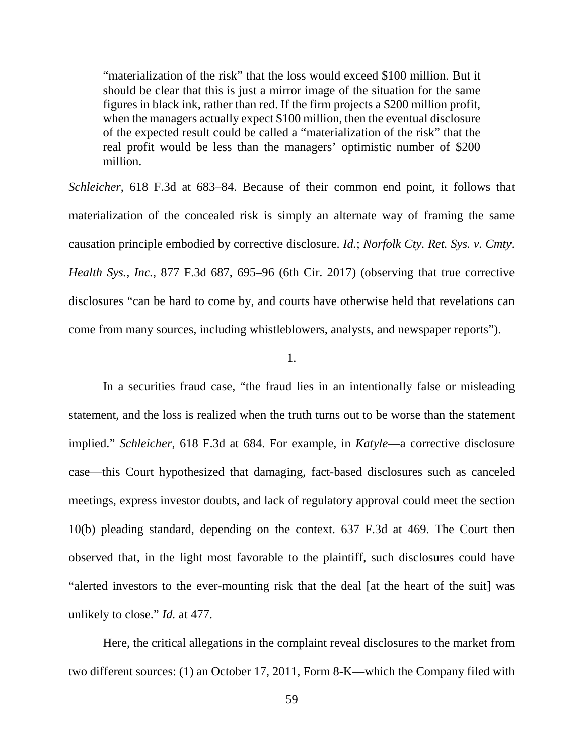"materialization of the risk" that the loss would exceed \$100 million. But it should be clear that this is just a mirror image of the situation for the same figures in black ink, rather than red. If the firm projects a \$200 million profit, when the managers actually expect \$100 million, then the eventual disclosure of the expected result could be called a "materialization of the risk" that the real profit would be less than the managers' optimistic number of \$200 million.

*Schleicher*, 618 F.3d at 683–84. Because of their common end point, it follows that materialization of the concealed risk is simply an alternate way of framing the same causation principle embodied by corrective disclosure. *Id.*; *Norfolk Cty. Ret. Sys. v. Cmty. Health Sys., Inc.*, 877 F.3d 687, 695–96 (6th Cir. 2017) (observing that true corrective disclosures "can be hard to come by, and courts have otherwise held that revelations can come from many sources, including whistleblowers, analysts, and newspaper reports").

# 1.

In a securities fraud case, "the fraud lies in an intentionally false or misleading statement, and the loss is realized when the truth turns out to be worse than the statement implied." *Schleicher*, 618 F.3d at 684. For example, in *Katyle*—a corrective disclosure case—this Court hypothesized that damaging, fact-based disclosures such as canceled meetings, express investor doubts, and lack of regulatory approval could meet the section 10(b) pleading standard, depending on the context. 637 F.3d at 469. The Court then observed that, in the light most favorable to the plaintiff, such disclosures could have "alerted investors to the ever-mounting risk that the deal [at the heart of the suit] was unlikely to close." *Id.* at 477.

Here, the critical allegations in the complaint reveal disclosures to the market from two different sources: (1) an October 17, 2011, Form 8-K—which the Company filed with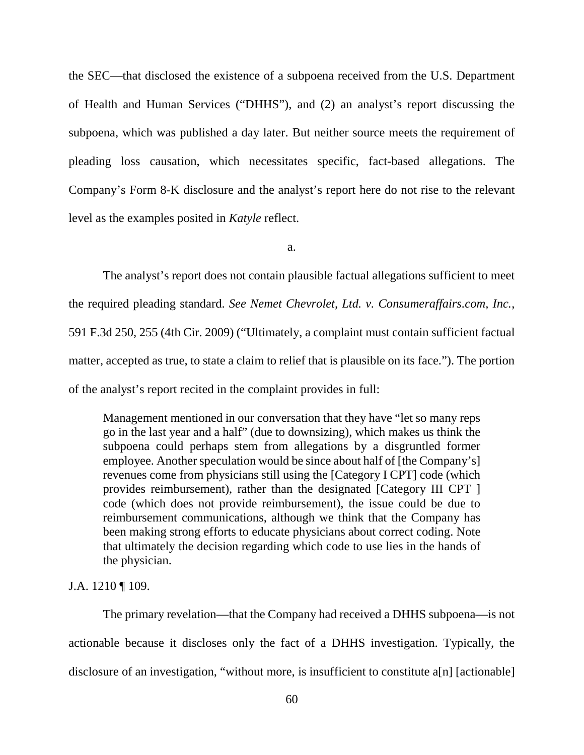the SEC—that disclosed the existence of a subpoena received from the U.S. Department of Health and Human Services ("DHHS"), and (2) an analyst's report discussing the subpoena, which was published a day later. But neither source meets the requirement of pleading loss causation, which necessitates specific, fact-based allegations. The Company's Form 8-K disclosure and the analyst's report here do not rise to the relevant level as the examples posited in *Katyle* reflect.

a.

The analyst's report does not contain plausible factual allegations sufficient to meet the required pleading standard. *See Nemet Chevrolet, Ltd. v. Consumeraffairs.com, Inc.*, 591 F.3d 250, 255 (4th Cir. 2009) ("Ultimately, a complaint must contain sufficient factual matter, accepted as true, to state a claim to relief that is plausible on its face."). The portion of the analyst's report recited in the complaint provides in full:

Management mentioned in our conversation that they have "let so many reps go in the last year and a half" (due to downsizing), which makes us think the subpoena could perhaps stem from allegations by a disgruntled former employee. Another speculation would be since about half of [the Company's] revenues come from physicians still using the [Category I CPT] code (which provides reimbursement), rather than the designated [Category III CPT ] code (which does not provide reimbursement), the issue could be due to reimbursement communications, although we think that the Company has been making strong efforts to educate physicians about correct coding. Note that ultimately the decision regarding which code to use lies in the hands of the physician.

J.A. 1210 ¶ 109.

The primary revelation—that the Company had received a DHHS subpoena—is not actionable because it discloses only the fact of a DHHS investigation. Typically, the disclosure of an investigation, "without more, is insufficient to constitute a[n] [actionable]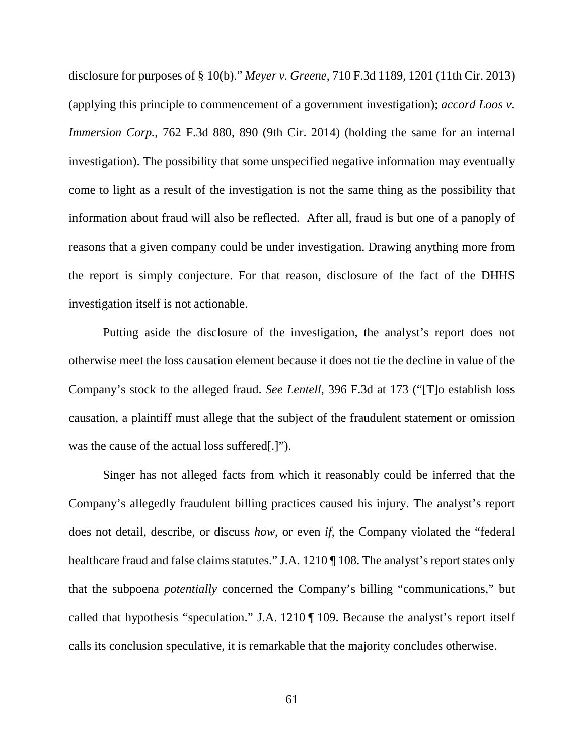disclosure for purposes of § 10(b)." *Meyer v. Greene*, 710 F.3d 1189, 1201 (11th Cir. 2013) (applying this principle to commencement of a government investigation); *accord Loos v. Immersion Corp.*, 762 F.3d 880, 890 (9th Cir. 2014) (holding the same for an internal investigation). The possibility that some unspecified negative information may eventually come to light as a result of the investigation is not the same thing as the possibility that information about fraud will also be reflected. After all, fraud is but one of a panoply of reasons that a given company could be under investigation. Drawing anything more from the report is simply conjecture. For that reason, disclosure of the fact of the DHHS investigation itself is not actionable.

Putting aside the disclosure of the investigation, the analyst's report does not otherwise meet the loss causation element because it does not tie the decline in value of the Company's stock to the alleged fraud. *See Lentell*, 396 F.3d at 173 ("[T]o establish loss causation, a plaintiff must allege that the subject of the fraudulent statement or omission was the cause of the actual loss suffered[.]").

Singer has not alleged facts from which it reasonably could be inferred that the Company's allegedly fraudulent billing practices caused his injury. The analyst's report does not detail, describe, or discuss *how*, or even *if*, the Company violated the "federal healthcare fraud and false claims statutes." J.A. 1210 ¶ 108. The analyst's report states only that the subpoena *potentially* concerned the Company's billing "communications," but called that hypothesis "speculation." J.A. 1210 ¶ 109. Because the analyst's report itself calls its conclusion speculative, it is remarkable that the majority concludes otherwise.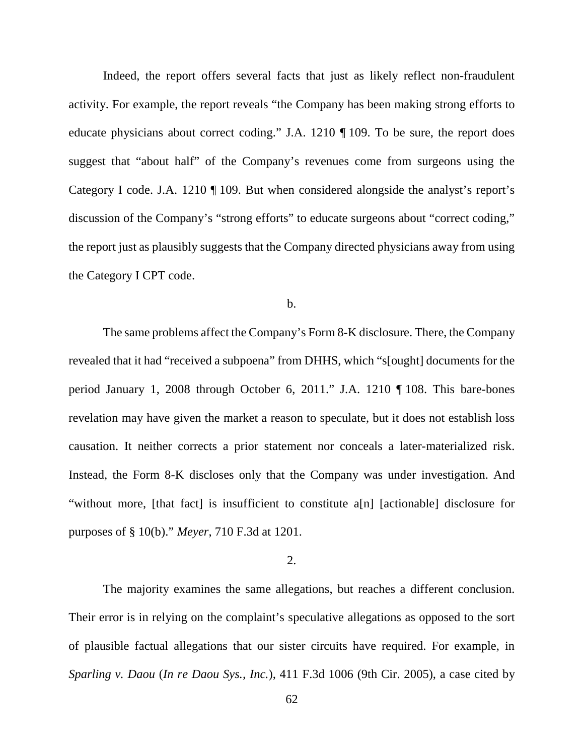Indeed, the report offers several facts that just as likely reflect non-fraudulent activity. For example, the report reveals "the Company has been making strong efforts to educate physicians about correct coding." J.A. 1210 ¶ 109. To be sure, the report does suggest that "about half" of the Company's revenues come from surgeons using the Category I code. J.A. 1210 ¶ 109. But when considered alongside the analyst's report's discussion of the Company's "strong efforts" to educate surgeons about "correct coding," the report just as plausibly suggests that the Company directed physicians away from using the Category I CPT code.

b.

The same problems affect the Company's Form 8-K disclosure. There, the Company revealed that it had "received a subpoena" from DHHS, which "s[ought] documents for the period January 1, 2008 through October 6, 2011." J.A. 1210 ¶ 108. This bare-bones revelation may have given the market a reason to speculate, but it does not establish loss causation. It neither corrects a prior statement nor conceals a later-materialized risk. Instead, the Form 8-K discloses only that the Company was under investigation. And "without more, [that fact] is insufficient to constitute a[n] [actionable] disclosure for purposes of § 10(b)." *Meyer*, 710 F.3d at 1201.

### 2.

The majority examines the same allegations, but reaches a different conclusion. Their error is in relying on the complaint's speculative allegations as opposed to the sort of plausible factual allegations that our sister circuits have required. For example, in *Sparling v. Daou* (*In re Daou Sys., Inc.*), 411 F.3d 1006 (9th Cir. 2005), a case cited by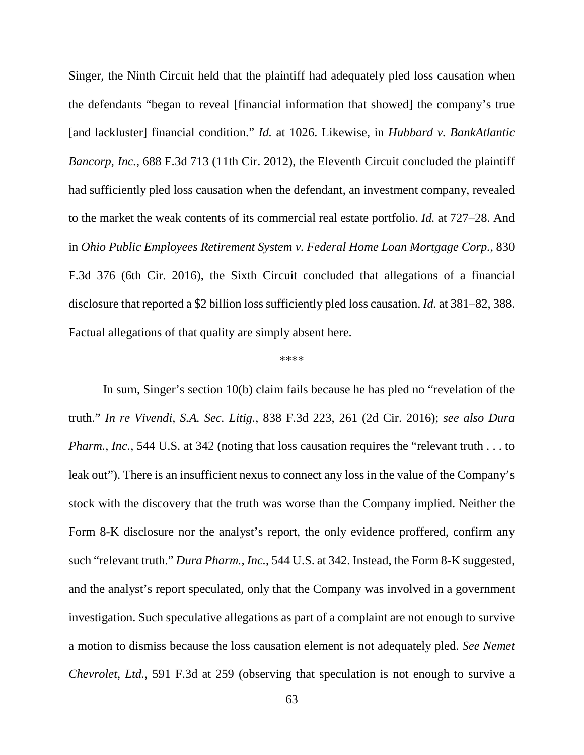Singer, the Ninth Circuit held that the plaintiff had adequately pled loss causation when the defendants "began to reveal [financial information that showed] the company's true [and lackluster] financial condition." *Id.* at 1026. Likewise, in *Hubbard v. BankAtlantic Bancorp, Inc.*, 688 F.3d 713 (11th Cir. 2012), the Eleventh Circuit concluded the plaintiff had sufficiently pled loss causation when the defendant, an investment company, revealed to the market the weak contents of its commercial real estate portfolio. *Id.* at 727–28. And in *Ohio Public Employees Retirement System v. Federal Home Loan Mortgage Corp.*, 830 F.3d 376 (6th Cir. 2016), the Sixth Circuit concluded that allegations of a financial disclosure that reported a \$2 billion loss sufficiently pled loss causation. *Id.* at 381–82, 388. Factual allegations of that quality are simply absent here.

#### \*\*\*\*

In sum, Singer's section 10(b) claim fails because he has pled no "revelation of the truth." *In re Vivendi, S.A. Sec. Litig.*, 838 F.3d 223, 261 (2d Cir. 2016); *see also Dura Pharm., Inc.*, 544 U.S. at 342 (noting that loss causation requires the "relevant truth . . . to leak out"). There is an insufficient nexus to connect any loss in the value of the Company's stock with the discovery that the truth was worse than the Company implied. Neither the Form 8-K disclosure nor the analyst's report, the only evidence proffered, confirm any such "relevant truth." *Dura Pharm., Inc.*, 544 U.S. at 342. Instead, the Form 8-K suggested, and the analyst's report speculated, only that the Company was involved in a government investigation. Such speculative allegations as part of a complaint are not enough to survive a motion to dismiss because the loss causation element is not adequately pled. *See Nemet Chevrolet, Ltd.*, 591 F.3d at 259 (observing that speculation is not enough to survive a